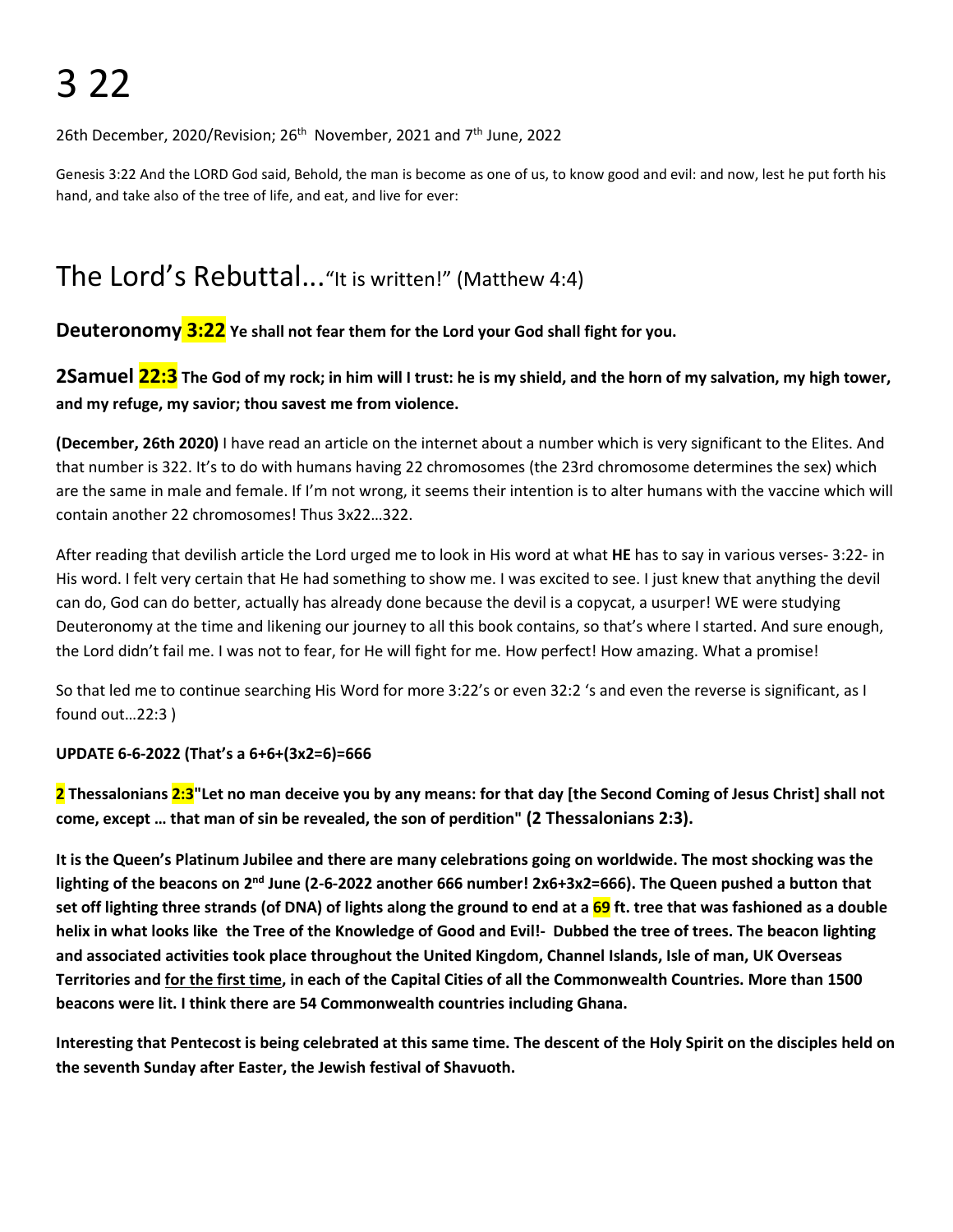26th December, 2020/Revision; 26<sup>th</sup> November, 2021 and 7<sup>th</sup> June, 2022

Genesis 3:22 And the LORD God said, Behold, the man is become as one of us, to know good and evil: and now, lest he put forth his hand, and take also of the tree of life, and eat, and live for ever:

# The Lord's Rebuttal..."It is written!" (Matthew 4:4)

**Deuteronomy 3:22 Ye shall not fear them for the Lord your God shall fight for you.**

2Samuel 22:3 The God of my rock; in him will I trust: he is my shield, and the horn of my salvation, my high tower, **and my refuge, my savior; thou savest me from violence.**

**(December, 26th 2020)** I have read an article on the internet about a number which is very significant to the Elites. And that number is 322. It's to do with humans having 22 chromosomes (the 23rd chromosome determines the sex) which are the same in male and female. If I'm not wrong, it seems their intention is to alter humans with the vaccine which will contain another 22 chromosomes! Thus 3x22…322.

After reading that devilish article the Lord urged me to look in His word at what **HE** has to say in various verses- 3:22- in His word. I felt very certain that He had something to show me. I was excited to see. I just knew that anything the devil can do, God can do better, actually has already done because the devil is a copycat, a usurper! WE were studying Deuteronomy at the time and likening our journey to all this book contains, so that's where I started. And sure enough, the Lord didn't fail me. I was not to fear, for He will fight for me. How perfect! How amazing. What a promise!

So that led me to continue searching His Word for more 3:22's or even 32:2 's and even the reverse is significant, as I found out…22:3 )

# **UPDATE 6-6-2022 (That's a 6+6+(3x2=6)=666**

2 Thessalonians 2:3"Let no man deceive you by any means: for that day [the Second Coming of Jesus Christ] shall not **come, except … that man of sin be revealed, the son of perdition" (2 Thessalonians 2:3).**

It is the Queen's Platinum Jubilee and there are many celebrations going on worldwide. The most shocking was the lighting of the beacons on 2<sup>nd</sup> June (2-6-2022 another 666 number! 2x6+3x2=666). The Queen pushed a button that set off lighting three strands (of DNA) of lights along the ground to end at a 69 ft. tree that was fashioned as a double helix in what looks like the Tree of the Knowledge of Good and Evil!- Dubbed the tree of trees. The beacon lighting **and associated activities took place throughout the United Kingdom, Channel Islands, Isle of man, UK Overseas** Territories and for the first time, in each of the Capital Cities of all the Commonwealth Countries. More than 1500 **beacons were lit. I think there are 54 Commonwealth countries including Ghana.**

Interesting that Pentecost is being celebrated at this same time. The descent of the Holy Spirit on the disciples held on **the seventh Sunday afterEaster, the Jewish festival of Shavuoth.**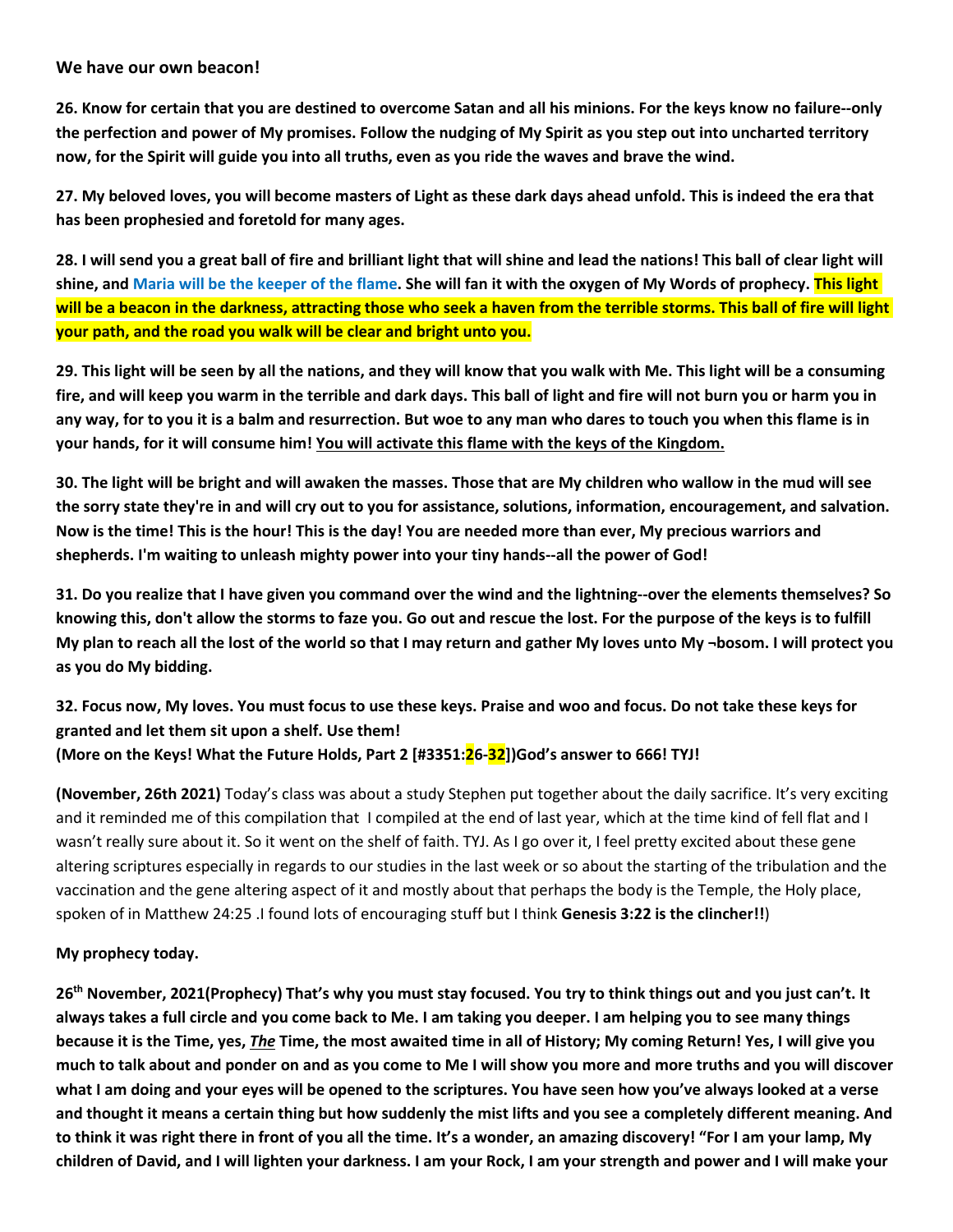#### **We have our own beacon!**

26. Know for certain that you are destined to overcome Satan and all his minions. For the keys know no failure--only the perfection and power of My promises. Follow the nudging of My Spirit as you step out into uncharted territory now, for the Spirit will guide you into all truths, even as you ride the waves and brave the wind.

27. My beloved loves, you will become masters of Light as these dark days ahead unfold. This is indeed the era that **has been prophesied and foretold for many ages.**

28. I will send you a great ball of fire and brilliant light that will shine and lead the nations! This ball of clear light will shine, and Maria will be the keeper of the flame. She will fan it with the oxygen of My Words of prophecy. This light will be a beacon in the darkness, attracting those who seek a haven from the terrible storms. This ball of fire will light **your path, and the road you walk will be clear and bright unto you.**

29. This light will be seen by all the nations, and they will know that you walk with Me. This light will be a consuming fire, and will keep you warm in the terrible and dark days. This ball of light and fire will not burn you or harm you in any way, for to you it is a balm and resurrection. But woe to any man who dares to touch you when this flame is in **your hands, for it will consume him! You will activate this flame with the keys of the Kingdom.**

30. The light will be bright and will awaken the masses. Those that are My children who wallow in the mud will see the sorry state they're in and will cry out to you for assistance, solutions, information, encouragement, and salvation. Now is the time! This is the hour! This is the day! You are needed more than ever, My precious warriors and **shepherds. I'm waiting to unleash mighty power into your tiny hands--allthe power of God!**

31. Do you realize that I have given you command over the wind and the lightning--over the elements themselves? So knowing this, don't allow the storms to faze you. Go out and rescue the lost. For the purpose of the keys is to fulfill My plan to reach all the lost of the world so that I may return and gather My loves unto My -bosom. I will protect you **as you do My bidding.**

# 32. Focus now, My loves. You must focus to use these keys. Praise and woo and focus. Do not take these keys for **granted and let them sit upon a shelf. Use them! (More on the Keys! What the Future Holds, Part 2 [#3351:26-32])God's answer to 666! TYJ!**

**(November, 26th 2021)** Today's class was about a study Stephen put together about the daily sacrifice.It's very exciting and it reminded me of this compilation that I compiled at the end of last year, which at the time kind of fell flat and I wasn't really sure about it. So it went on the shelf of faith. TYJ. As I go over it, I feel pretty excited about these gene altering scriptures especially in regards to our studies in the last week or so about the starting of the tribulation and the vaccination and the gene altering aspect of it and mostly about that perhaps the body is the Temple, the Holy place, spoken of in Matthew 24:25 .I found lots of encouraging stuff but Ithink **Genesis 3:22 is the clincher!!**)

# **My prophecy today.**

26<sup>th</sup> November, 2021(Prophecy) That's why you must stay focused. You try to think things out and you just can't. It always takes a full circle and you come back to Me. I am taking you deeper. I am helping you to see many things because it is the Time, yes, The Time, the most awaited time in all of History; My coming Return! Yes, I will give you much to talk about and ponder on and as you come to Me I will show you more and more truths and you will discover what I am doing and your eyes will be opened to the scriptures. You have seen how you've always looked at a verse and thought it means a certain thing but how suddenly the mist lifts and you see a completely different meaning. And to think it was right there in front of you all the time. It's a wonder, an amazing discovery! "For I am your lamp, My children of David, and I will lighten your darkness. I am your Rock, I am your strength and power and I will make your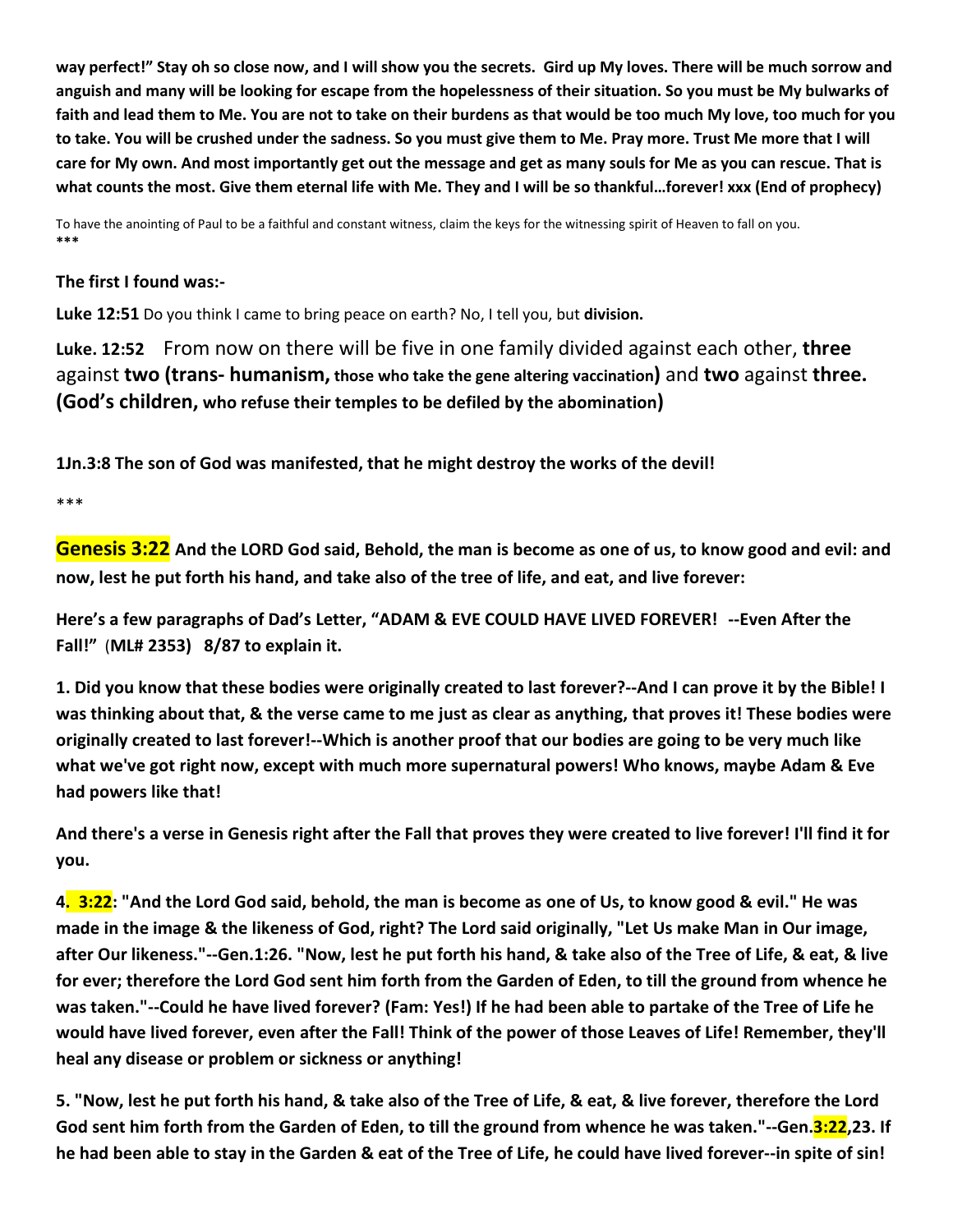way perfect!" Stay oh so close now, and I will show you the secrets. Gird up My loves. There will be much sorrow and anguish and many will be looking for escape from the hopelessness of their situation. So you must be My bulwarks of faith and lead them to Me. You are not to take on their burdens as that would be too much My love, too much for you to take. You will be crushed under the sadness. So you must give them to Me. Pray more. Trust Me more that I will care for My own. And most importantly get out the message and get as many souls for Me as you can rescue. That is what counts the most. Give them eternal life with Me. They and I will be so thankful...forever! xxx (End of prophecy)

To have the anointing of Paul to be a faithful and constant witness, claim the keysfor the witnessing spirit of Heaven to fall on you. **\*\*\***

#### **The first I found was:-**

**Luke 12:51** Do you think I came to bring peace on earth? No, I tell you, but **division.**

**Luke. 12:52** From now on there will be five in one family divided against each other, **three** against **two (trans- humanism, those who take the gene altering vaccination)** and **two** against **three. (God's children, who refuse their temples to be defiled bythe abomination)**

**1Jn.3:8 The son of God was manifested, that he might destroy the works of the devil!**

\*\*\*

Genesis 3:22 And the LORD God said, Behold, the man is become as one of us, to know good and evil: and now, lest he put forth his hand, and take also of the tree of life, and eat, and live forever:

**Here's a few paragraphs of Dad's Letter, "ADAM & EVE COULD HAVE LIVED FOREVER! --Even After the Fall!"** (**ML# 2353) 8/87 to explain it.**

1. Did you know that these bodies were originally created to last forever?--And I can prove it by the Bible! I was thinking about that, & the verse came to me just as clear as anything, that proves it! These bodies were originally created to last forever!--Which is another proof that our bodies are going to be very much like **what we've got right now, except with much more supernatural powers! Who knows, maybe Adam & Eve had powers like that!**

And there's a verse in Genesis right after the Fall that proves they were created to live forever! I'll find it for **you.**

4. 3:22: "And the Lord God said, behold, the man is become as one of Us, to know good & evil." He was made in the image & the likeness of God, right? The Lord said originally, "Let Us make Man in Our image, after Our likeness."--Gen.1:26. "Now, lest he put forth his hand, & take also of the Tree of Life, & eat, & live for ever; therefore the Lord God sent him forth from the Garden of Eden, to till the ground from whence he was taken."--Could he have lived forever? (Fam: Yes!) If he had been able to partake of the Tree of Life he would have lived forever, even after the Fall! Think of the power of those Leaves of Life! Remember, they'll **heal any disease or problem or sickness or anything!**

5. "Now, lest he put forth his hand, & take also of the Tree of Life, & eat, & live forever, therefore the Lord God sent him forth from the Garden of Eden, to till the ground from whence he was taken."--Gen.3:22,23. If he had been able to stay in the Garden & eat of the Tree of Life, he could have lived forever--in spite of sin!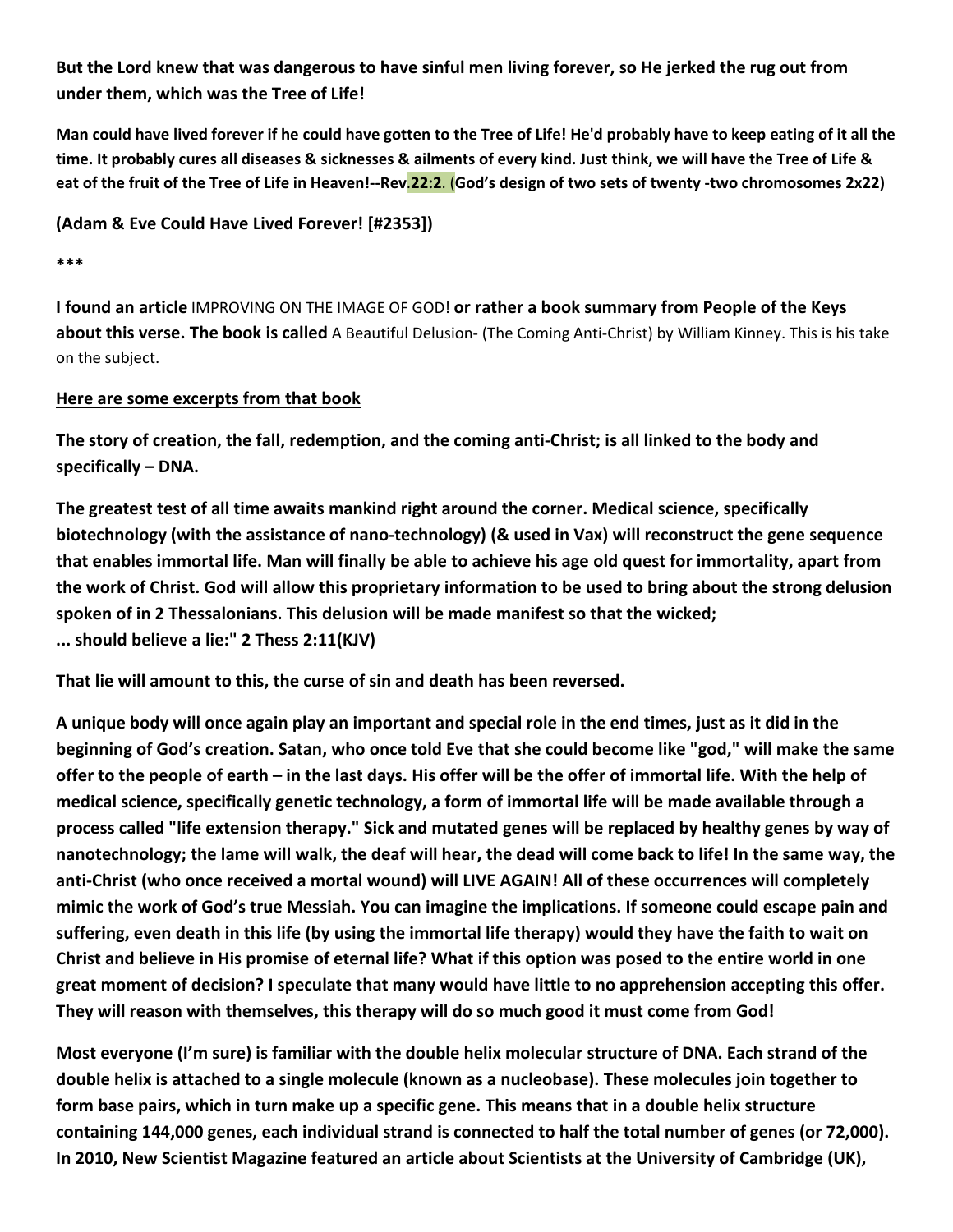# But the Lord knew that was dangerous to have sinful men living forever, so He jerked the rug out from **under them, which was the Tree of Life!**

Man could have lived forever if he could have gotten to the Tree of Life! He'd probably have to keep eating of it all the time. It probably cures all diseases & sicknesses & ailments of every kind. Just think, we will have the Tree of Life & eat of the fruit of the Tree of Life in Heaven!--Rev.22:2. (God's design of two sets of twenty -two chromosomes 2x22)

**(Adam & Eve Could Have Lived Forever! [#2353])**

**\*\*\***

**I found an article** IMPROVING ON THE IMAGE OF GOD! **or rather a book summary from People of the Keys about this verse. The book is called** A Beautiful Delusion- (The Coming Anti-Christ) by William Kinney. This is his take on the subject.

# **Here are some excerpts from that book**

The story of creation, the fall, redemption, and the coming anti-Christ; is all linked to the body and **specifically – DNA.**

**The greatest test of all time awaits mankind right around the corner. Medical science, specifically biotechnology (with the assistance of nano-technology) (& used inVax) will reconstruct the gene sequence** that enables immortal life. Man will finally be able to achieve his age old quest for immortality, apart from the work of Christ. God will allow this proprietary information to be used to bring about the strong delusion **spoken of in 2 Thessalonians. This delusion will be made manifest so that the wicked; ... should believe a lie:" 2 Thess 2:11(KJV)**

**That lie will amount to this, the curse ofsin and death has been reversed.**

A unique body will once again play an important and special role in the end times, just as it did in the beginning of God's creation. Satan, who once told Eve that she could become like "god," will make the same offer to the people of earth – in the last days. His offer will be the offer of immortal life. With the help of **medical science, specifically genetic technology, a form of immortal life will be made available through a process called "life extension therapy." Sick and mutated geneswill be replaced byhealthy genes by way of** nanotechnology; the lame will walk, the deaf will hear, the dead will come back to life! In the same way, the **anti-Christ (who once received a mortal wound) will LIVE AGAIN! Allof these occurrences will completely** mimic the work of God's true Messiah. You can imagine the implications. If someone could escape pain and suffering, even death in this life (by using the immortal life therapy) would they have the faith to wait on Christ and believe in His promise of eternal life? What if this option was posed to the entire world in one great moment of decision? I speculate that many would have little to no apprehension accepting this offer. **They will reason with themselves, this therapy will do so much good it must come from God!**

Most everyone (I'm sure) is familiar with the double helix molecular structure of DNA. Each strand of the **double helix is attached to a single molecule (known as a nucleobase). These molecules join together to** form base pairs, which in turn make up a specific gene. This means that in a double helix structure containing 144,000 genes, each individual strand is connected to half the total number of genes (or 72,000). **In 2010, New Scientist Magazine featured an article about Scientists atthe University of Cambridge (UK),**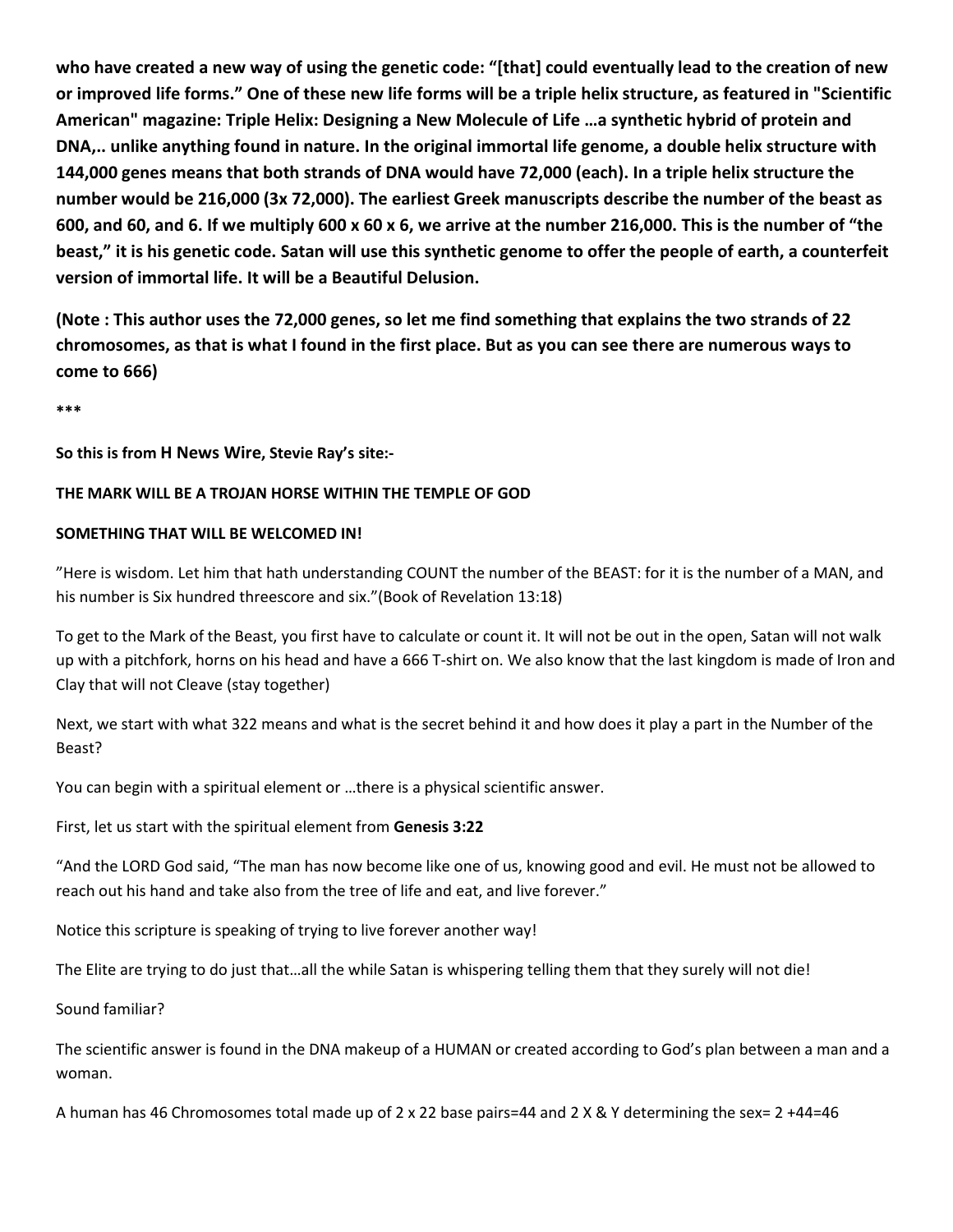who have created a new way of using the genetic code: "[that] could eventually lead to the creation of new or improved life forms." One of these new life forms will be a triple helix structure, as featured in "Scientific **American" magazine: Triple Helix: Designing a New Molecule of Life …a synthetic hybrid of protein and** DNA,.. unlike anything found in nature. In the original immortal life genome, a double helix structure with 144,000 genes means that both strands of DNA would have 72,000 (each). In a triple helix structure the **number would be 216,000 (3x 72,000).The earliest Greek manuscripts describe the number of the beast as** 600, and 60, and 6. If we multiply 600 x 60 x 6, we arrive at the number 216,000. This is the number of "the beast," it is his genetic code. Satan will use this synthetic genome to offer the people of earth, a counterfeit **version of immortal life. It will be a Beautiful Delusion.**

(Note: This author uses the 72,000 genes, so let me find something that explains the two strands of 22 chromosomes, as that is what I found in the first place. But as you can see there are numerous ways to **come to 666)**

**\*\*\***

**So this isfrom H News Wire, Stevie Ray's site:-**

#### **THE MARK WILL BE A TROJAN HORSE WITHIN THE TEMPLE OF GOD**

#### **SOMETHING THAT WILL BE WELCOMED IN!**

"Here is wisdom. Let him that hath understanding COUNT the number of the BEAST: for it is the number of a MAN, and his number is Six hundred threescore and six."(Book of Revelation 13:18)

To get to the Mark of the Beast, you first have to calculate or count it. It will not be out in the open, Satan will not walk up with a pitchfork, horns on his head and have a 666 T-shirt on. We also know that the last kingdom is made of Iron and Clay that will not Cleave (stay together)

Next, we start with what 322 means and what is the secret behind it and how does it play a part in the Number of the Beast?

You can begin with a spiritual element or …there is a physical scientific answer.

First, let us start with the spiritual element from **Genesis 3:22**

"And the LORD God said, "The man has now become like one of us, knowing good and evil. He must not be allowed to reach out his hand and take also from the tree of life and eat, and live forever."

Notice this scripture is speaking of trying to live forever another way!

The Elite are trying to do just that…all the while Satan is whispering telling them that they surelywill not die!

Sound familiar?

The scientific answer is found in the DNA makeup of a HUMAN or created according to God's plan between a man and a woman.

A human has 46 Chromosomes total made up of 2 x 22 base pairs=44 and 2 X & Y determining the sex= 2 +44=46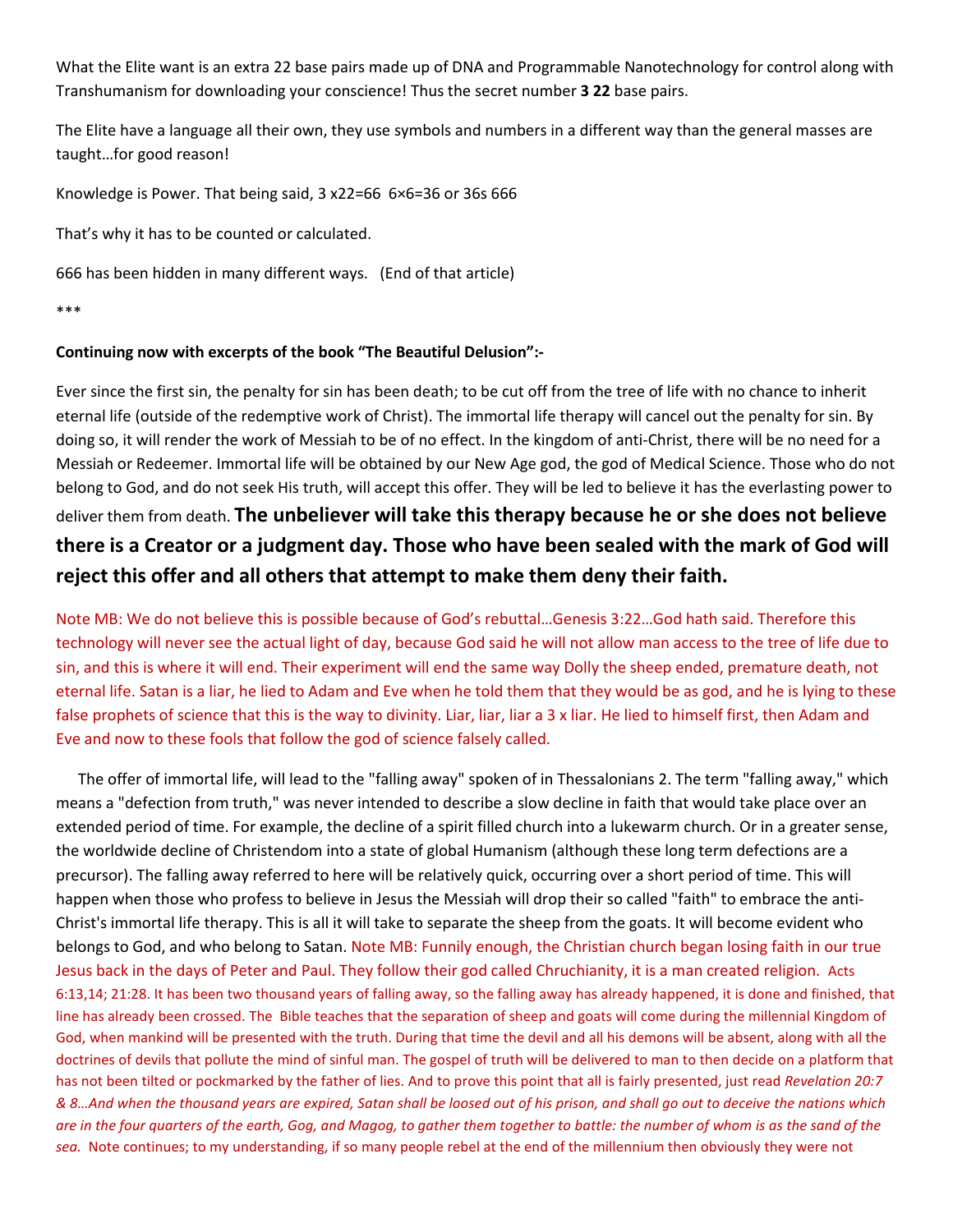What the Elite want is an extra 22 base pairs made up of DNA and Programmable Nanotechnology for control along with Transhumanism for downloading your conscience! Thus the secret number **3 22** base pairs.

The Elite have a language all their own, they use symbols and numbers in a different way than the general masses are taught…for good reason!

Knowledge is Power. That being said, 3 x22=66 6×6=36 or 36s 666

That's why it has to be counted or calculated.

666 has been hidden in many different ways. (End of that article)

\*\*\*

#### **Continuing now with excerpts of the book "The Beautiful Delusion":-**

Ever since the first sin, the penalty for sin has been death; to be cut off from the tree of life with no chance to inherit eternal life (outside of the redemptive work of Christ). The immortal life therapy will cancel out the penalty for sin. By doing so, it will render the work of Messiah to be of no effect. In the kingdom of anti-Christ, there will be no need for a Messiah or Redeemer. Immortal life will be obtained by our New Age god, the god of Medical Science. Those who do not belong to God, and do not seek His truth, will accept this offer. They will be led to believe it has the everlasting power to deliver them from death. **The unbeliever will take this therapy because he or she does not believe there is a Creator or a judgment day. Those who have been sealed with the mark of God will reject this offer and all others that attempt to make them deny theirfaith.**

Note MB: We do not believe this is possible because of God's rebuttal…Genesis 3:22…God hath said. Therefore this technology will never see the actual light of day, because God said he will not allow man access to the tree of life due to sin, and this iswhere it will end. Their experiment will end the same way Dolly the sheep ended, premature death, not eternal life. Satan is a liar, he lied to Adam and Eve when he told them that they would be as god, and he is lying to these false prophets of science that this is the way to divinity. Liar, liar, liar a 3 x liar. He lied to himself first, then Adam and Eve and now to these fools that follow the god of science falsely called.

The offer of immortal life, will lead to the "falling away" spoken of in Thessalonians 2. The term "falling away," which means a "defection from truth," was never intended to describe a slow decline in faith that would take place over an extended period of time. For example, the decline of a spirit filled church into a lukewarm church. Or in a greater sense, the worldwide decline of Christendom into a state ofglobal Humanism (although these long term defections are a precursor). The falling away referred to here will be relatively quick, occurring over a short period of time. This will happen when those who profess to believe in Jesus the Messiah will drop their so called "faith" to embrace the anti- Christ's immortal life therapy. This is all it will take to separate the sheep from the goats. It will become evident who belongs to God, and who belong to Satan. Note MB: Funnily enough, the Christian church began losing faith in our true Jesus back in the days of Peter and Paul. They follow their god called Chruchianity, it is a man created religion. Acts 6:13,14; 21:28. It has been two thousand years of falling away, so the falling away has already happened, it is done and finished, that line has already been crossed. The Bible teaches that the separation of sheep and goats will come during the millennial Kingdom of God, when mankind will be presented with the truth. During that time the devil and allhis demons will be absent, along with all the doctrines of devils that pollute the mind of sinful man. The gospel of truth will be delivered to man to then decide on a platform that has not been tilted or pockmarked by the father of lies. And to prove this point that all is fairly presented, just read *Revelation 20:7* & 8...And when the thousand years are expired, Satan shall be loosed out of his prison, and shall go out to deceive the nations which are in the four quarters of the earth, Gog, and Magog, to gather them together to battle: the number of whom is as the sand of the *sea.* Note continues; to my understanding, if so many people rebel at the end of the millennium then obviously they were not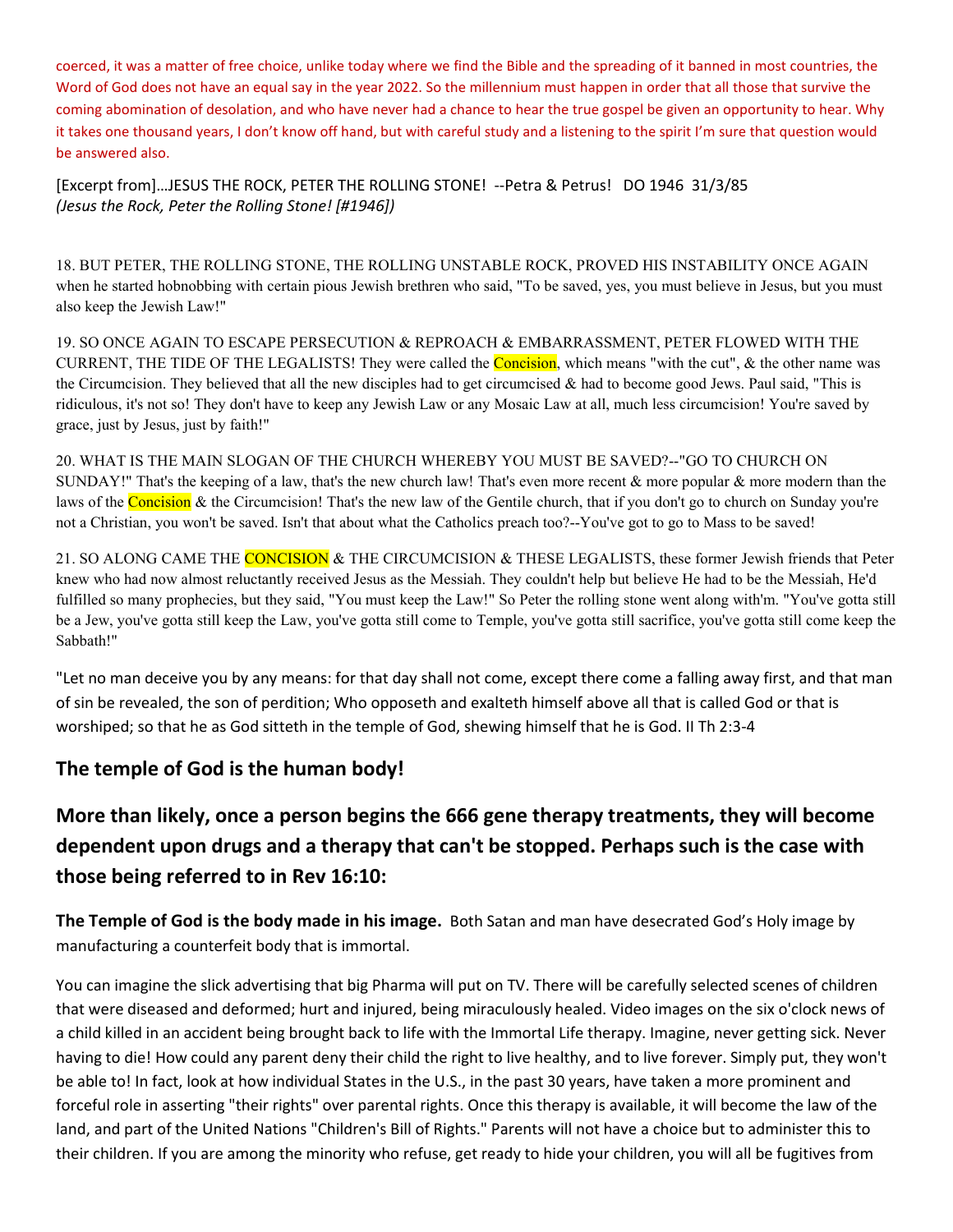coerced, it was a matter of free choice, unlike today where we find the Bible and the spreading of it banned in most countries, the Word of God does not have an equal say in the year 2022. So the millennium must happen in order that allthose that survive the coming abomination of desolation, and who have never had a chance to hear the true gospel be given an opportunity to hear. Why it takes one thousand years, I don't know off hand, but with careful study and a listening to the spirit I'm sure that question would be answered also.

[Excerpt from]…JESUS THE ROCK, PETER THE ROLLING STONE! --Petra & Petrus! DO 1946 31/3/85 *(Jesus the Rock, Peter the Rolling Stone! [#1946])*

18. BUT PETER, THE ROLLING STONE, THE ROLLING UNSTABLE ROCK, PROVED HIS INSTABILITY ONCE AGAIN when he started hobnobbing with certain pious Jewish brethren who said, "To be saved, yes, you must believe in Jesus, but you must also keep the Jewish Law!"

19. SO ONCE AGAIN TO ESCAPE PERSECUTION & REPROACH & EMBARRASSMENT, PETER FLOWED WITH THE CURRENT, THE TIDE OF THE LEGALISTS! They were called the **Concision**, which means "with the cut", & the other name was the Circumcision. They believed that all the new disciples had to get circumcised & had to become good Jews. Paul said, "This is ridiculous, it's not so! They don't have to keep any Jewish Law orany Mosaic Law at all, much less circumcision! You're saved by grace, just by Jesus, just by faith!"

20. WHAT IS THE MAIN SLOGAN OF THE CHURCH WHEREBY YOU MUST BE SAVED?--"GO TO CHURCH ON SUNDAY!" That's the keeping of a law, that's the new church law! That's even more recent  $\&$  more popular  $\&$  more modern than the laws of the Concision & the Circumcision! That's the new law of the Gentile church, that if you don't go to church on Sunday you're not a Christian, you won't be saved. Isn't that about what the Catholics preach too?--You've got to go to Mass to be saved!

21. SO ALONG CAME THE CONCISION & THE CIRCUMCISION & THESE LEGALISTS, these former Jewish friends that Peter knew who had now almost reluctantly received Jesus as the Messiah. They couldn't help but believe He had to be the Messiah, He'd fulfilled so many prophecies, but they said, "You must keep the Law!" So Peter the rolling stone went along with'm. "You've gotta still be a Jew, you've gotta still keep the Law, you've gotta still come to Temple, you've gotta still sacrifice, you've gotta still come keep the Sabbath!"

"Let no man deceive you by any means: for that day shall not come, except there come a falling away first, and that man of sin be revealed, the son of perdition; Who opposeth and exalteth himself above all that is called God or that is worshiped; so that he as God sitteth in the temple of God, shewing himselfthat he is God. II Th 2:3-4

# **The temple of God is the human body!**

# **More than likely, once a person begins the 666 gene therapy treatments, they will become dependent upon drugs and a therapy that can't be stopped. Perhaps such is the case with those being referred to in Rev 16:10:**

**The Temple of God is the body made in his image.** Both Satan and man have desecrated God's Holy image by manufacturing a counterfeit body that is immortal.

You can imagine the slick advertising that big Pharma will put on TV. There will be carefully selected scenes of children that were diseased and deformed; hurt and injured, being miraculously healed. Video images on the six o'clock news of a child killed in an accident being brought back to life with the Immortal Life therapy. Imagine, never getting sick. Never having to die! How could any parent deny their child the right to live healthy, and to live forever. Simply put, they won't be able to! In fact, look at how individual States in the U.S., in the past 30 years, have taken a more prominent and forceful role in asserting "their rights" over parental rights. Once this therapy is available, it will become the law of the land, and part of the United Nations "Children's Bill of Rights." Parents will not have a choice but to administer this to their children. If you are among the minority who refuse, get ready to hide your children, you will all be fugitives from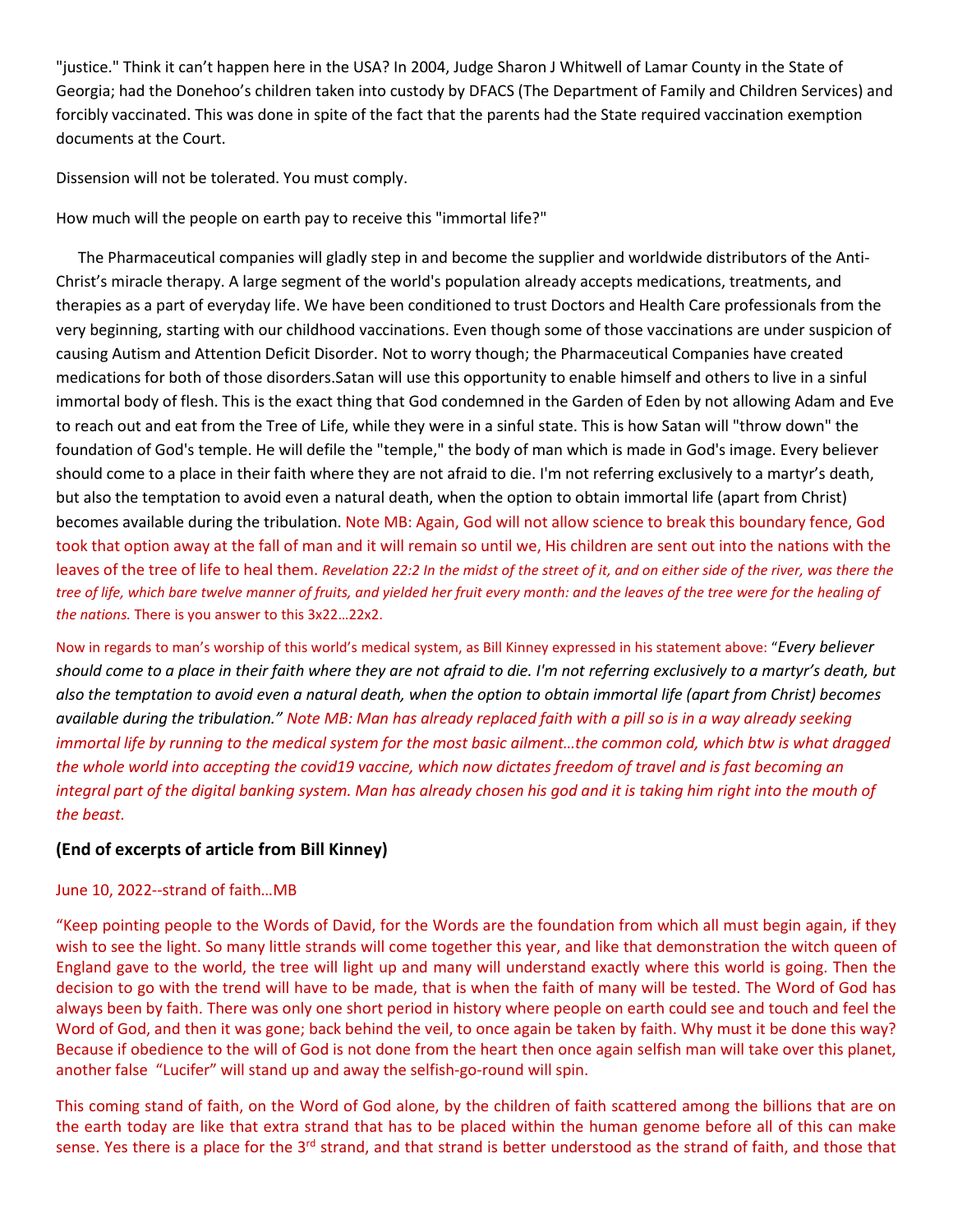"justice." Think it can't happen here in the USA? In 2004, Judge Sharon J Whitwell of Lamar County in the State of Georgia; had the Donehoo's children taken into custody by DFACS (The Department of Family and Children Services) and forcibly vaccinated. This was done in spite of the fact that the parents had the State required vaccination exemption documents at the Court.

Dissension will not be tolerated. You must comply.

How much will the people on earth pay to receive this "immortal life?"

The Pharmaceutical companies will gladly step in and become the supplier and worldwide distributors of the Anti- Christ's miracle therapy. A large segment of the world's population already accepts medications, treatments, and therapies as a part of everyday life. We have been conditioned to trust Doctors and Health Care professionals from the very beginning, starting with our childhood vaccinations. Even though some of those vaccinations are under suspicion of causing Autism and Attention Deficit Disorder. Not to worry though; the Pharmaceutical Companies have created medications for both of those disorders.Satan will use this opportunity to enable himself and others to live in a sinful immortal body of flesh. This is the exact thing that God condemned in the Garden of Eden by not allowing Adam and Eve to reach out and eat from the Tree of Life, while they were in a sinful state. This is how Satan will "throw down" the foundation of God's temple. He will defile the "temple," the body of man which is made in God's image. Every believer should come to a place in their faith where they are not afraid to die. I'm not referring exclusively to a martyr's death, but also the temptation to avoid even a natural death, when the option to obtain immortal life (apart from Christ) becomes available during the tribulation. Note MB: Again, God will not allow science to break this boundary fence, God took that option away at the fall of man and it will remain so until we, His children are sent out into the nations with the leaves of the tree of life to heal them. Revelation 22:2 In the midst of the street of it, and on either side of the river, was there the tree of life, which bare twelve manner of fruits, and yielded her fruit every month: and the leaves of the tree were for the healing of *the nations.* There is you answer to this 3x22…22x2.

Now in regards to man's worship of this world's medical system, as Bill Kinney expressed in his statement above: "*Every believer* should come to a place in their faith where they are not afraid to die. I'm not referring exclusively to a martyr's death, but also the temptation to avoid even a natural death, when the option to obtain immortal life (apart from Christ) becomes available during the tribulation." Note MB: Man has already replaced faith with a pill so is in a way already seeking immortal life by running to the medical system for the most basic ailment...the common cold, which btw is what dragged the whole world into accepting the covid19 vaccine, which now dictates freedom of travel and is fast becoming an integral part of the digital banking system. Man has already chosen his god and it is taking him right into the mouth of *the beast.*

# **(End of excerpts of article from Bill Kinney)**

# June 10, 2022--strand of faith…MB

"Keep pointing people to the Words of David, for the Words are the foundation from which all must begin again, if they wish to see the light. So many little strands will come together this year, and like that demonstration the witch queen of England gave to the world, the tree will light up and many will understand exactly where this world is going. Then the decision to go with the trend will have to be made, that is when the faith of many will be tested. The Word of God has always been by faith. There was only one short period in history where people on earth could see and touch and feel the Word of God, and then it was gone; back behind the veil, to once again be taken by faith. Why must it be done this way? Because if obedience to the will of God is not done from the heart then once again selfish man will take over this planet, another false "Lucifer" will stand up and away the selfish-go-round will spin.

This coming stand of faith, on the Word of God alone, by the children of faith scattered among the billions that are on the earth today are like that extra strand that has to be placed within the human genome before all of this can make sense. Yes there is a place for the 3<sup>rd</sup> strand, and that strand is better understood as the strand of faith, and those that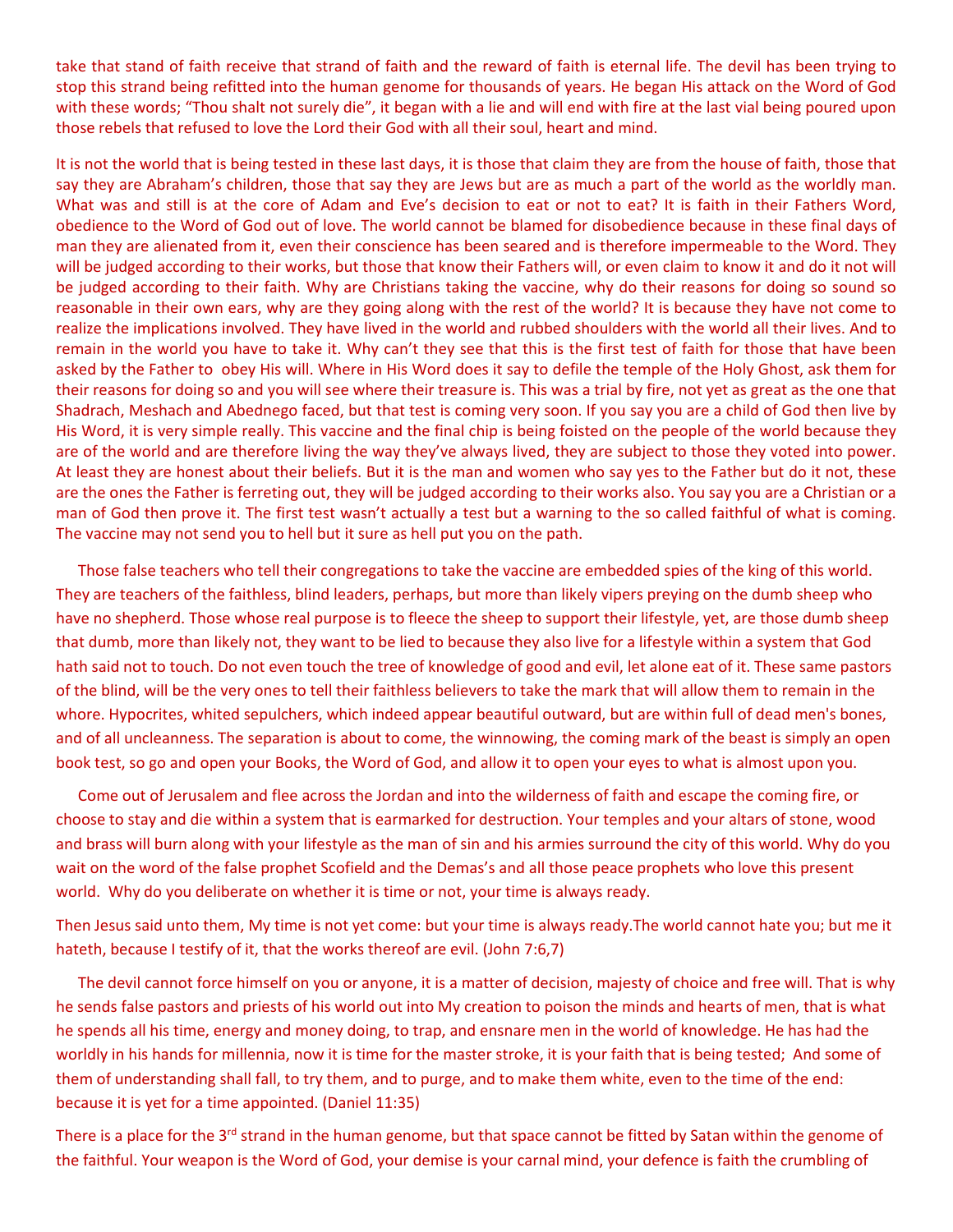take that stand of faith receive that strand of faith and the reward of faith is eternal life. The devil has been trying to stop this strand being refitted into the human genome for thousands of years. He began His attack on the Word of God with these words; "Thou shalt not surely die", it began with a lie and will end with fire at the last vial being poured upon those rebels that refused to love the Lord their God with all their soul, heart and mind.

It is not the world that is being tested in these last days, it is those that claim they are from the house of faith, those that say they are Abraham's children, those that say they are Jews but are as much a part of the world as the worldly man. What was and still is at the core of Adam and Eve's decision to eat or not to eat? It is faith in their Fathers Word, obedience to the Word of God out of love. The world cannot be blamed for disobedience because in these final days of man they are alienated from it, even their conscience has been seared and is therefore impermeable to the Word. They will be judged according to their works, but those that know their Fathers will, or even claim to know it and do it not will be judged according to their faith. Why are Christians taking the vaccine, why do their reasons for doing so sound so reasonable in their own ears, why are they going along with the rest of the world? It is because they have not come to realize the implications involved. They have lived in the world and rubbed shoulders with the world all their lives. And to remain in the world you have to take it. Why can't they see that this is the first test of faith for those that have been asked by the Father to obey His will. Where in His Word does it say to defile the temple of the Holy Ghost, ask them for their reasons for doing so and you will see where their treasure is. This was a trial by fire, not yet as great as the one that Shadrach, Meshach and Abednego faced, but that test is coming very soon. If you say you are a child of God then live by His Word, it is very simple really. This vaccine and the final chip is being foisted on the people of the world because they are of the world and are therefore living the way they've always lived, they are subject to those they voted into power. At least they are honest about their beliefs. But it is the man and women who say yes to the Father but do it not, these are the ones the Father is ferreting out, they will be judged according to their works also. You say you are a Christian or a man of God then prove it. The first test wasn't actually a test but a warning to the so called faithful of what is coming. The vaccine may not send you to hell but it sure as hell put you on the path.<br>Those false teachers who tell their congregations to take the vaccine are embedded spies of the king of this world.

They are teachers of the faithless, blind leaders, perhaps, but more than likely vipers preying on the dumb sheep who have no shepherd. Those whose real purpose is to fleece the sheep to support their lifestyle, yet, are those dumb sheep that dumb, more than likely not, they want to be lied to because they also live for a lifestyle within a system that God hath said not to touch. Do not even touch the tree of knowledge of good and evil, let alone eat of it. These same pastors of the blind, will be the very ones to tell their faithless believers to take the mark that will allow them to remain in the whore. Hypocrites, whited sepulchers, which indeed appear beautiful outward, but are within full of dead men's bones, and of all uncleanness. The separation is about to come, the winnowing, the coming mark of the beast is simply an open book test, so go and open your Books, the Word of God, and allow it to open your eyes to what is almost upon you.

Come out of Jerusalem and flee across the Jordan and into the wilderness of faith and escape the coming fire, or choose to stay and die within a system that is earmarked for destruction. Your temples and your altars of stone, wood and brass will burn along with your lifestyle as the man of sin and his armies surround the city of this world. Why do you wait on the word of the false prophet Scofield and the Demas's and all those peace prophets who love this present world. Why do you deliberate on whether it is time or not,your time is always ready.

Then Jesus said unto them, My time is not yet come: but your time is always ready.The world cannot hate you; but me it hateth, because I testify of it, that the works thereof are evil. (John 7:6,7)

The devil cannot force himself on you or anyone, it is a matter of decision, majesty of choice and free will. That is why he sends false pastors and priests of his world out into My creation to poison the minds and hearts of men, that is what he spends all his time, energy and money doing, to trap, and ensnare men in the world of knowledge. He has had the worldly in his hands for millennia, now it is time for the master stroke, it is your faith that is being tested; And some of them of understanding shall fall, to try them, and to purge, and to make them white, even to the time of the end: because it is yet for a time appointed. (Daniel 11:35)

There is a place for the 3<sup>rd</sup> strand in the human genome, but that space cannot be fitted by Satan within the genome of the faithful. Your weapon is the Word of God, your demise is your carnal mind, your defence is faith the crumbling of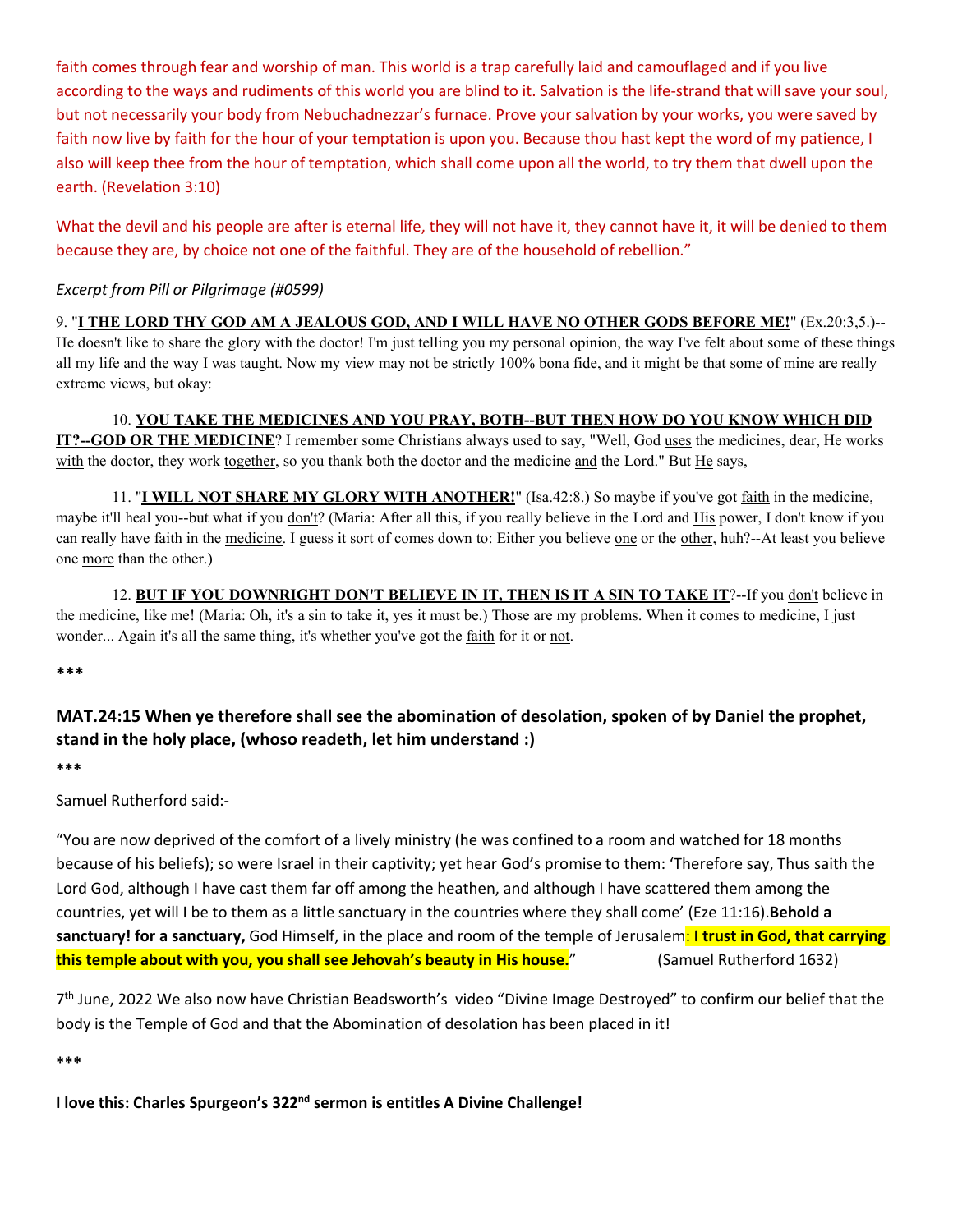faith comes through fear and worship of man. This world is a trap carefully laid and camouflaged and if you live according to the ways and rudiments of this world you are blind to it. Salvation is the life-strand that will save your soul, but not necessarily your body from Nebuchadnezzar's furnace. Prove your salvation by your works, you were saved by faith now live by faith for the hour of your temptation is upon you. Because thou hast kept the word of my patience, I also will keep thee from the hour of temptation, which shall come upon all the world, to try them that dwell upon the earth. (Revelation 3:10)

What the devil and his people are after is eternal life, they will not have it, they cannot have it, it will be denied to them because they are, by choice not one of the faithful. They are of the household of rebellion."

# *Excerpt from Pill or Pilgrimage (#0599)*

9. "**I THE LORD THY GOD AM A JEALOUS GOD, AND I WILL HAVE NO OTHER GODS BEFORE ME!**" (Ex.20:3,5.)-- He doesn't like to share the glory with the doctor! I'm just telling you my personal opinion, the way I've felt about some of these things all my life and the way I was taught. Now my view may not be strictly 100% bona fide, and it might be that some of mine are really extreme views, but okay:

10. **YOU TAKE THE MEDICINES AND YOU PRAY, BOTH--BUT THEN HOW DO YOU KNOW WHICH DID IT?--GOD OR THE MEDICINE**? I remember some Christians always used to say, "Well, God uses the medicines, dear, He works with the doctor, they work together, so you thank both the doctor and the medicine and the Lord." But He says,

11. "**I WILL NOT SHARE MY GLORY WITH ANOTHER!**" (Isa.42:8.) So maybe if you've got faith in the medicine, maybe it'll heal you--but what if you don't? (Maria: After all this, if you really believe in the Lord and His power, I don't know if you can really have faith in the medicine. I guess it sort of comes down to: Either you believe one or the other, huh?--At least you believe one more than the other.)

12. **BUT IF YOU DOWNRIGHT DON'T BELIEVE IN IT, THEN IS IT A SIN TO TAKE IT**?--If you don't believe in the medicine, like me! (Maria: Oh, it's a sin to take it, yes it must be.) Those are my problems. When it comes to medicine, I just wonder... Again it's all the same thing, it's whether you've got the faith for it or not.

**\*\*\***

# **MAT.24:15 When ye therefore shall see the abomination of desolation, spoken of by Daniel the prophet, stand in the holy place,(whoso readeth, let him understand :)**

**\*\*\***

Samuel Rutherford said:-

"You are now deprived of the comfort of a lively ministry (he was confined to a room and watched for 18 months because of his beliefs); so were Israel in their captivity; yet hear God's promise to them: 'Therefore say, Thus saith the Lord God, although I have cast them far off among the heathen, and although I have scattered them among the countries, yet will I be to them as a little sanctuary in the countries where they shall come' (Eze 11:16).**Behold a sanctuary! for a sanctuary,** God Himself, in the place and room of the templeof Jerusalem: **I trust in God, that carrying this temple about with you, you shall see Jehovah's beauty in His house.**" (Samuel Rutherford 1632)

7<sup>th</sup> June, 2022 We also now have Christian Beadsworth's video "Divine Image Destroyed" to confirm our belief that the body is the Temple of God and that the Abomination of desolation has been placed in it!

**\*\*\***

**I love this: Charles Spurgeon's 322 nd sermon is entitles A Divine Challenge!**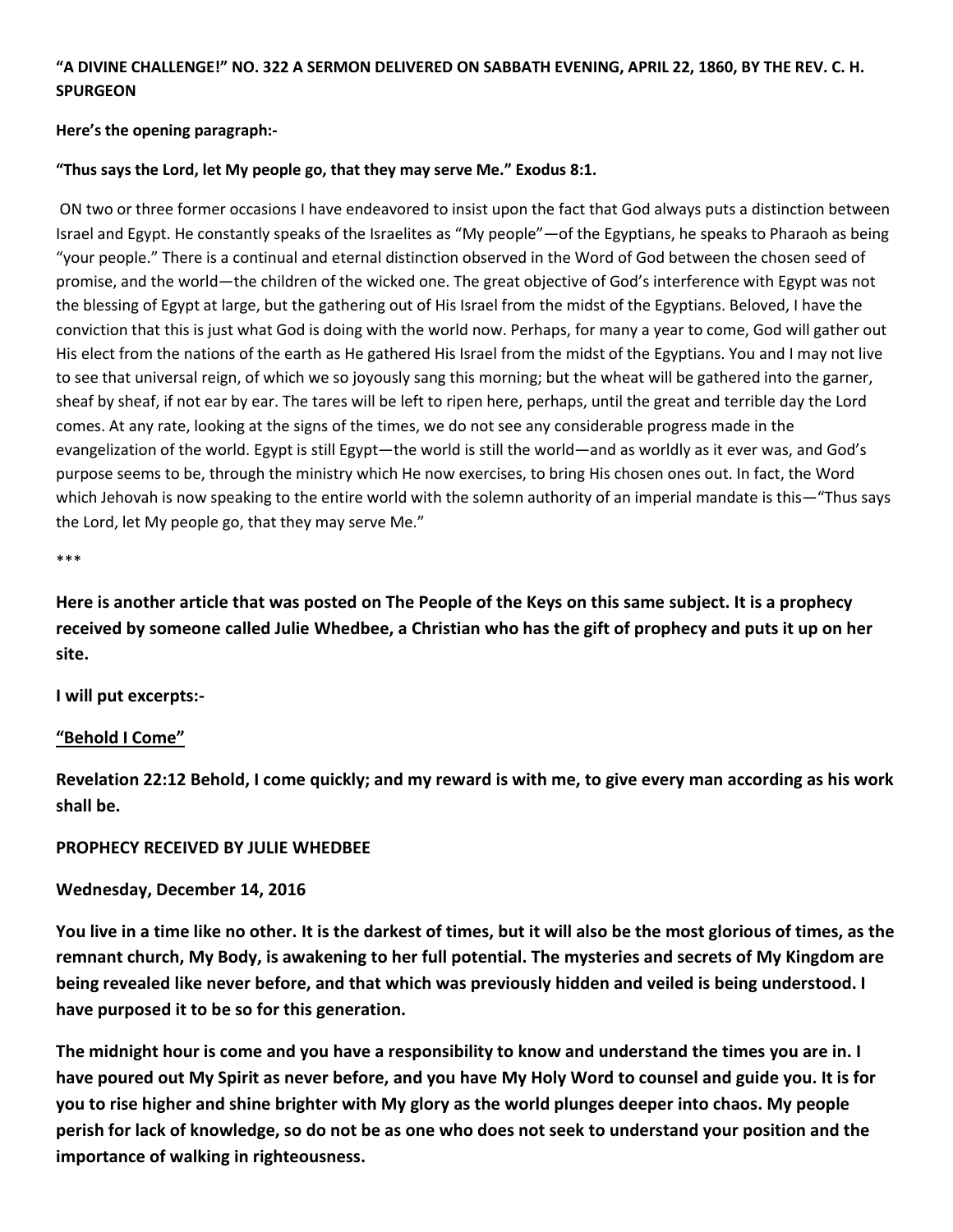# "A DIVINE CHALLENGE!" NO. 322 A SERMON DELIVERED ON SABBATH EVENING, APRIL 22, 1860, BY THE REV. C. H. **SPURGEON**

#### **Here's the opening paragraph:-**

#### **"Thus says the Lord, let My people go, that they may serve Me." Exodus 8:1.**

ON two or three former occasions I have endeavored to insist upon the fact that God always puts a distinction between Israel and Egypt. He constantly speaks of the Israelites as "My people"—of the Egyptians, he speaks to Pharaoh as being "your people." There is a continual and eternal distinction observed in the Word of God between the chosen seed of promise, and the world—the children of the wicked one. The great objective of God's interference with Egypt was not the blessing of Egypt at large, but the gathering out of His Israel from the midst of the Egyptians. Beloved, I have the conviction that this is just what God is doing with the world now. Perhaps, for many a year to come, God will gather out His elect from the nations of the earth as He gathered His Israel from the midst of the Egyptians. You and I may not live to see that universal reign, of which we so joyously sang this morning; but the wheat will be gathered into the garner, sheaf by sheaf, if not ear by ear. The tares will be left to ripen here, perhaps, until the great and terrible day the Lord comes. At any rate, looking at the signs of the times, we do not see any considerable progress made in the evangelization of the world. Egypt is still Egypt—the world is still the world—and as worldly as it ever was, and God's purpose seems to be, through the ministry which He now exercises, to bring His chosen ones out. In fact, the Word which Jehovah is now speaking to the entire world with the solemn authority of an imperial mandate is this—"Thus says the Lord, let My people go, that they may serve Me."

\*\*\*

Here is another article that was posted on The People of the Keys on this same subject. It is a prophecy received by someone called Julie Whedbee, a Christian who has the gift of prophecy and puts it up on her **site.**

**I will put excerpts:-**

# **"Behold I Come"**

Revelation 22:12 Behold, I come quickly; and my reward is with me, to give every man according as his work **shall be.**

#### **PROPHECY RECEIVED BY JULIE WHEDBEE**

#### **Wednesday, December 14, 2016**

You live in a time like no other. It is the darkest of times, but it will also be the most glorious of times, as the **remnant church, My Body, is awakening to her full potential. The mysteries and secrets ofMy Kingdom are being revealed like never before, and that which was previously hidden and veiled is being understood. I have purposed it to be so for this generation.**

The midnight hour is come and you have a responsibility to know and understand the times you are in. I have poured out My Spirit as never before, and you have My Holy Word to counsel and guide you. It is for you to rise higher and shine brighter with My glory as the world plunges deeper into chaos. My people perish for lack of knowledge, so do not be as one who does not seek to understand your position and the **importance of walking in righteousness.**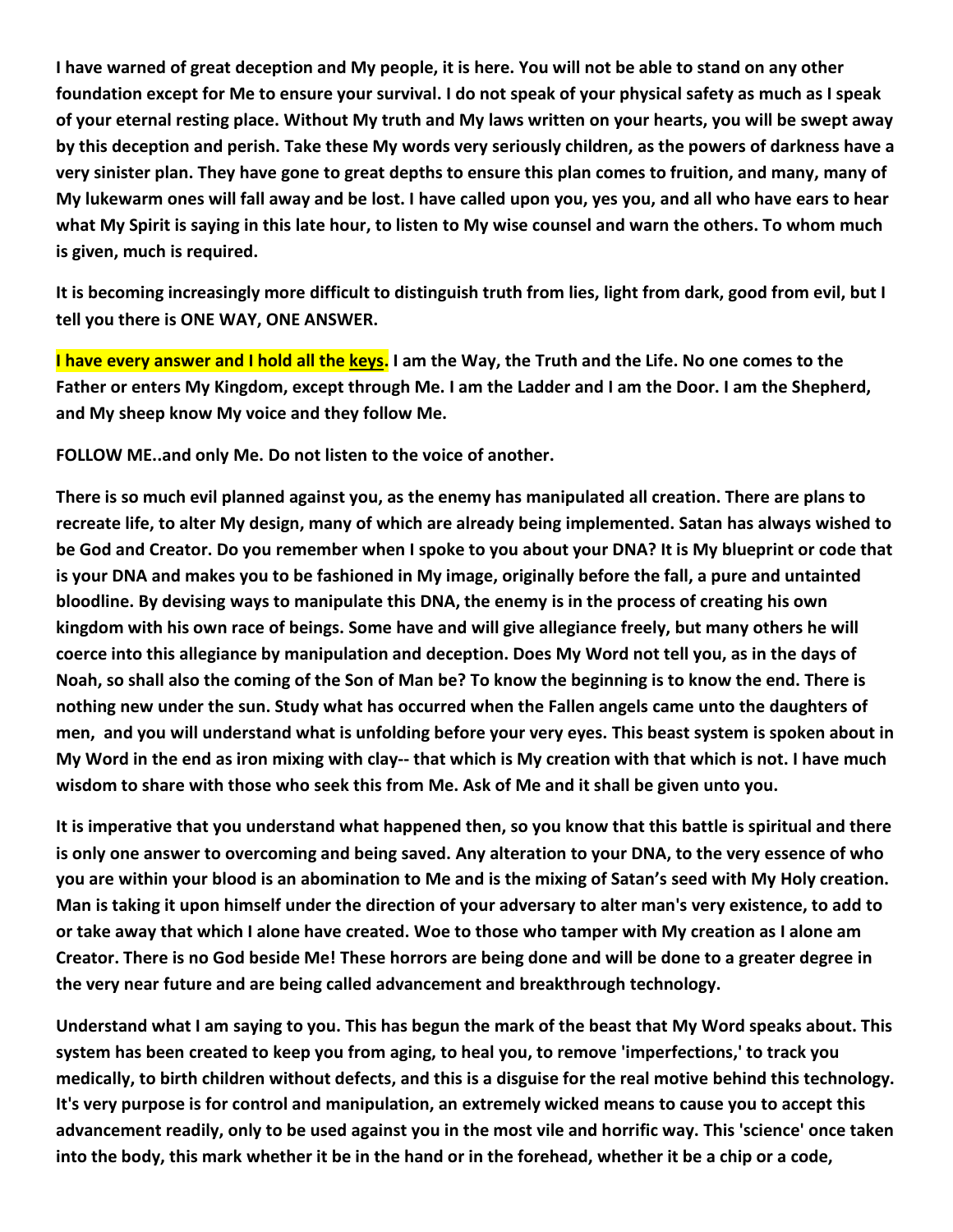I have warned of great deception and My people, it is here. You will not be able to stand on any other foundation except for Me to ensure your survival. I do not speak of your physical safety as much as I speak of your eternal resting place. Without My truth and My laws written on your hearts, you will be swept away by this deception and perish. Take these My words very seriously children, as the powers of darkness have a very sinister plan. They have gone to great depths to ensure this plan comes to fruition, and many, many of My lukewarm ones will fall away and be lost. I have called upon you, yes you, and all who have ears to hear what My Spirit is saying in this late hour, to listen to My wise counsel and warn the others. To whom much **is given,much is required.**

It is becoming increasingly more difficult to distinguish truth from lies, light from dark, good from evil, but I **tell you there is ONE WAY, ONE ANSWER.**

I have every answer and I hold all the keys. I am the Way, the Truth and the Life. No one comes to the Father or enters My Kingdom, except through Me. I am the Ladder and I am the Door. I am the Shepherd, **and My sheep know My voice and they follow Me.**

**FOLLOW ME..and only Me. Do notlisten to the voice of another.**

**heath c plant c plant evil planned against you,** as the enemy has manipulated all creation. There are plans to recreate life, to alter My design, many of which are already being implemented. Satan has always wished to be God and Creator. Do you remember when I spoke to you about your DNA? It is My blueprint or code that is your DNA and makes you to be fashioned in My image, originally before the fall, a pure and untainted **bloodline. By devising ways to manipulate this DNA, the enemy is in the process of creating hisown** kingdom with his own race of beings. Some have and will give allegiance freely, but many others he will coerce into this allegiance by manipulation and deception. Does My Word not tell you, as in the days of Noah, so shall also the coming of the Son of Man be? To know the beginning is to know the end. There is nothing new under the sun. Study what has occurred when the Fallen angels came unto the daughters of men, and you will understand what is unfolding before your very eyes. This beast system is spoken about in My Word in the end as iron mixing with clay-- that which is My creation with that which is not. I have much **wisdom to share with those who seek this from Me. Ask of Me and itshall be given unto you.**

It is imperative that you understand what happened then, so you know that this battle is spiritual and there is only one answer to overcoming and being saved. Any alteration to your DNA, to the very essence of who you are within your blood is an abomination to Me and is the mixing of Satan's seed with My Holy creation.<br>Man is taking it upon himself under the direction of your adversary to alter man's very existence, to add to or take away that which I alone have created. Woe to those who tamper with My creation as I alone am Creator. There is no God beside Me! These horrors are being done and will be done to a greater degree in the very near future and are being called advancement and breakthrough technology.<br>Understand what I am saying to you. This has begun the mark of the beast that My Word speaks about. This

system has been created to keep you from aging, to heal you, to remove 'imperfections,' to track you medically, to birth children without defects, and this is a disguise for the real motive behind this technology. It's very purpose is for control and manipulation, an extremely wicked means to cause you to accept this advancement readily, only to be used against you in the most vile and horrific way. This 'science' once taken into the body, this mark whether it be in the hand or in the forehead, whether it be a chip or a code,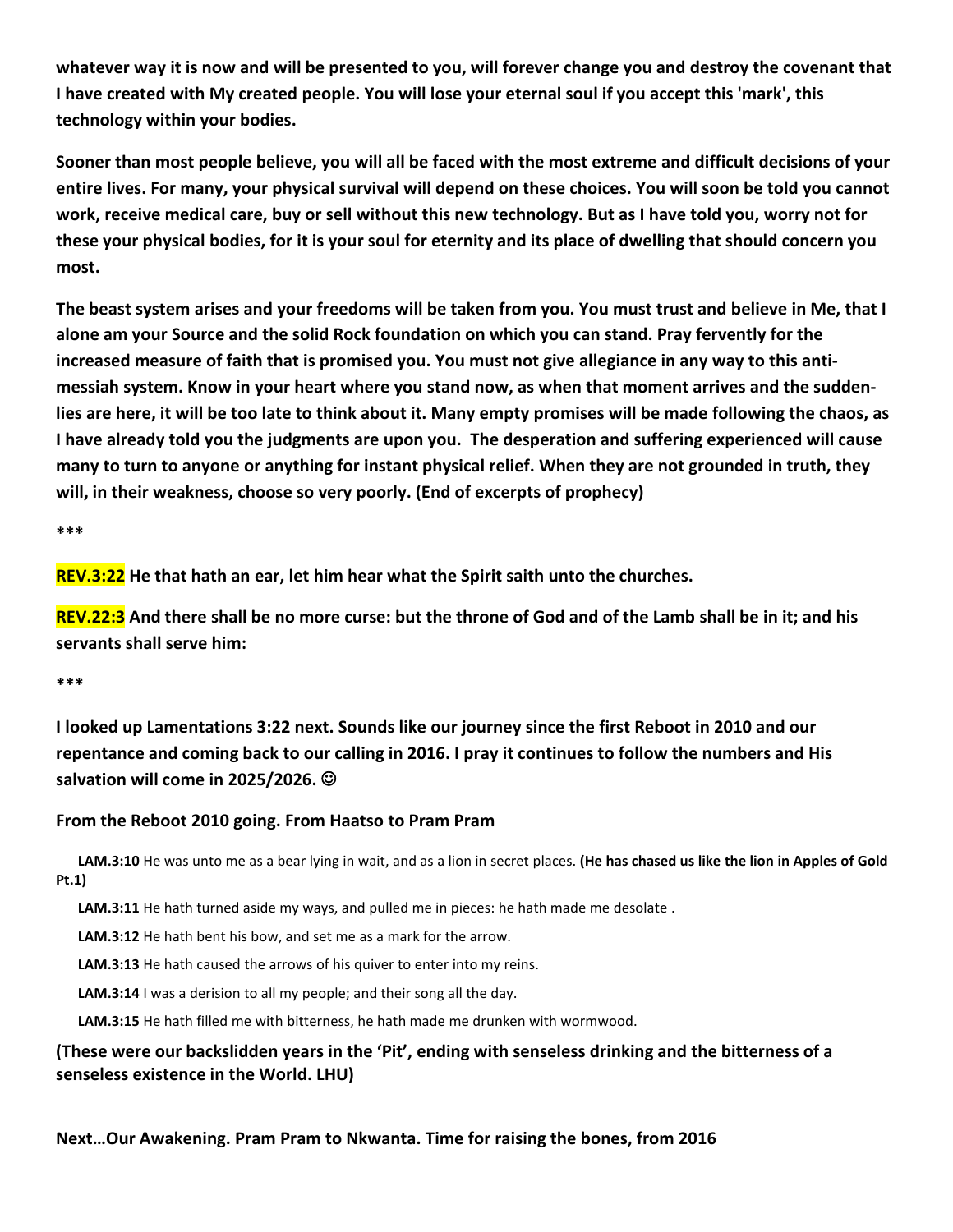whatever way it is now and will be presented to you, will forever change you and destroy the covenant that I have created with My created people. You will lose your eternal soul if you accept this 'mark', this **technology within your bodies.**

Sooner than most people believe, you will all be faced with the most extreme and difficult decisions of your entire lives. For many, your physical survival will depend on these choices. You will soon be told you cannot work, receive medical care, buy or sell without this new technology. But as I have told you, worry not for these your physical bodies, for it is your soul for eternity and its place of dwelling that should concern you **most.**

The beast system arises and your freedoms will be taken from you. You must trust and believe in Me, that I **alone am your Source and the solid Rock foundation on which you can stand. Pray fervently for the** increased measure of faith that is promised you. You must not give allegiance in any way to this antimessiah system. Know in your heart where you stand now, as when that moment arrives and the suddenlies are here, it will be too late to think about it. Many empty promises will be made following the chaos, as **I have already told you the judgments are upon you.The desperation and suffering experienced will cause** many to turn to anyone or anything for instant physical relief. When they are not grounded in truth, they **will, in their weakness, choose so very poorly. (End of excerpts of prophecy)**

**\*\*\***

**REV.3:22 He that hath an ear, let him hear what the Spirit saith unto the churches.**

REV.22:3 And there shall be no more curse: but the throne of God and of the Lamb shall be in it; and his **servants shall serve him:**

# **\*\*\***

**I looked up Lamentations 3:22 next. Sounds like our journey since the first Reboot in 2010 and our** repentance and coming back to our calling in 2016. I pray it continues to follow the numbers and His **salvation will come in 2025/2026.**

# **From the Reboot 2010 going. From Haatso to Pram Pram**

**LAM.3:10** He was unto me as a bear lying in wait, and as a lion in secret places. **(He has chased us like the lion in Apples ofGold Pt.1)**

**LAM.3:11** He hath turned aside my ways, and pulled me in pieces: he hath made me desolate .

**LAM.3:12** He hath bent his bow, and set me as a mark for the arrow.

LAM.3:13 He hath caused the arrows of his quiver to enter into my reins.

**LAM.3:14** I was a derision to all my people; and their song all the day.

**LAM.3:15** He hath filled me with bitterness, he hath made me drunken with wormwood.

# **(These were our backslidden years in the 'Pit', ending with senseless drinking and the bitterness of a senseless existence in the World. LHU)**

**Next…Our Awakening. Pram Pram to Nkwanta. Time for raising the bones, from 2016**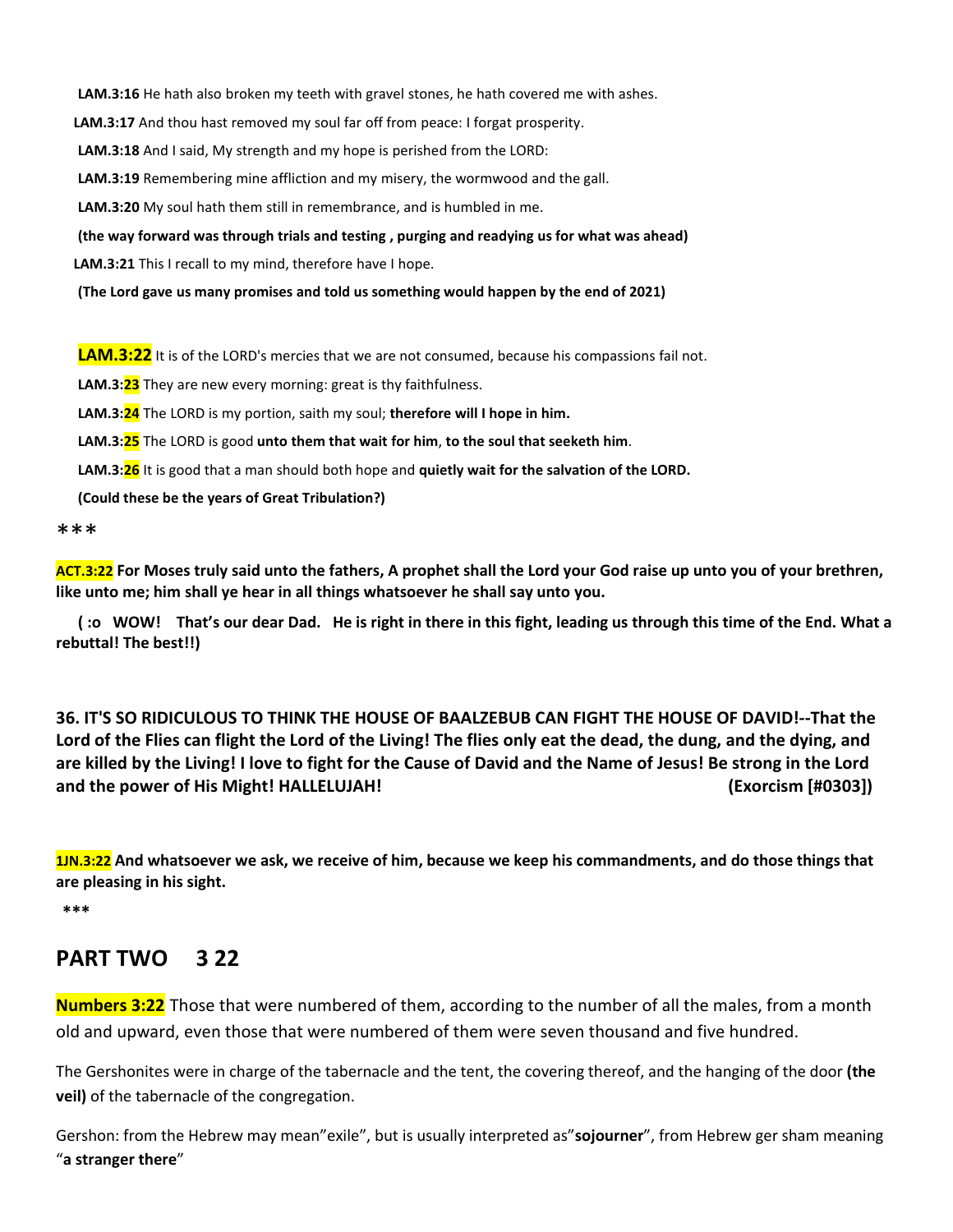**LAM.3:16** He hath also broken my teeth with gravel stones, he hath covered me with ashes.

LAM.3:17 And thou hast removed my soul far off from peace: I forgat prosperity.

**LAM.3:18** And I said, My strength and my hope is perished from the LORD:

**LAM.3:19** Remembering mine affliction and my misery, the wormwood and the gall.

**LAM.3:20** My soul hath them still in remembrance, and is humbled in me.

**(the way forward was through trials and testing , purging and readying us for what was ahead)**

**LAM.3:21** This I recall to my mind, therefore have I hope.

**(The Lord gave us many promises and told us something would happen by the end of 2021)**

**LAM.3:22** It is of the LORD's mercies that we are not consumed, because his compassions fail not.

**LAM.3:23** They are new every morning: great is thy faithfulness.

**LAM.3:24** The LORD is my portion, saith my soul; **therefore will I hope in him.**

**LAM.3:25** The LORD is good **unto them that wait for him**,**to the soul that seeketh him**.

**LAM.3:26** It is good that a man should both hope and **quietly wait for the salvation of the LORD.**

**(Could these be the years ofGreat Tribulation?)**

\*\*\*

ACT.3:22 For Moses truly said unto the fathers, A prophet shall the Lord your God raise up unto you of your brethren, **like unto me; him shall ye hear in all things whatsoever he shall say unto you.**

(:o WOW! That's our dear Dad. He is right in there in this fight, leading us through this time of the End. What a **rebuttal! The best!!)**

**36. IT'S SO RIDICULOUS TO THINK THE HOUSE OF BAALZEBUB CAN FIGHT THE HOUSE OF DAVID!--That the** Lord of the Flies can flight the Lord of the Living! The flies only eat the dead, the dung, and the dying, and are killed by the Living! I love to fight for the Cause of David and the Name of Jesus! Be strong in the Lord **and the power of His Might! HALLELUJAH! (Exorcism [#0303])**

1JN.3:22 And whatsoever we ask, we receive of him, because we keep his commandments, and do those things that **are pleasing in his sight.**

**\*\*\***

# **PART TWO 3 22**

**Numbers 3:22** Those that were numbered of them, according to the number of all the males, from a month old and upward, even those that were numbered of them were seven thousand and five hundred.

The Gershonites were in charge of the tabernacle and the tent, the covering thereof, and the hanging of the door **(the veil)** of the tabernacle of the congregation.

Gershon: from the Hebrew may mean"exile", but is usually interpreted as"**sojourner**", from Hebrew ger sham meaning "**a stranger there**"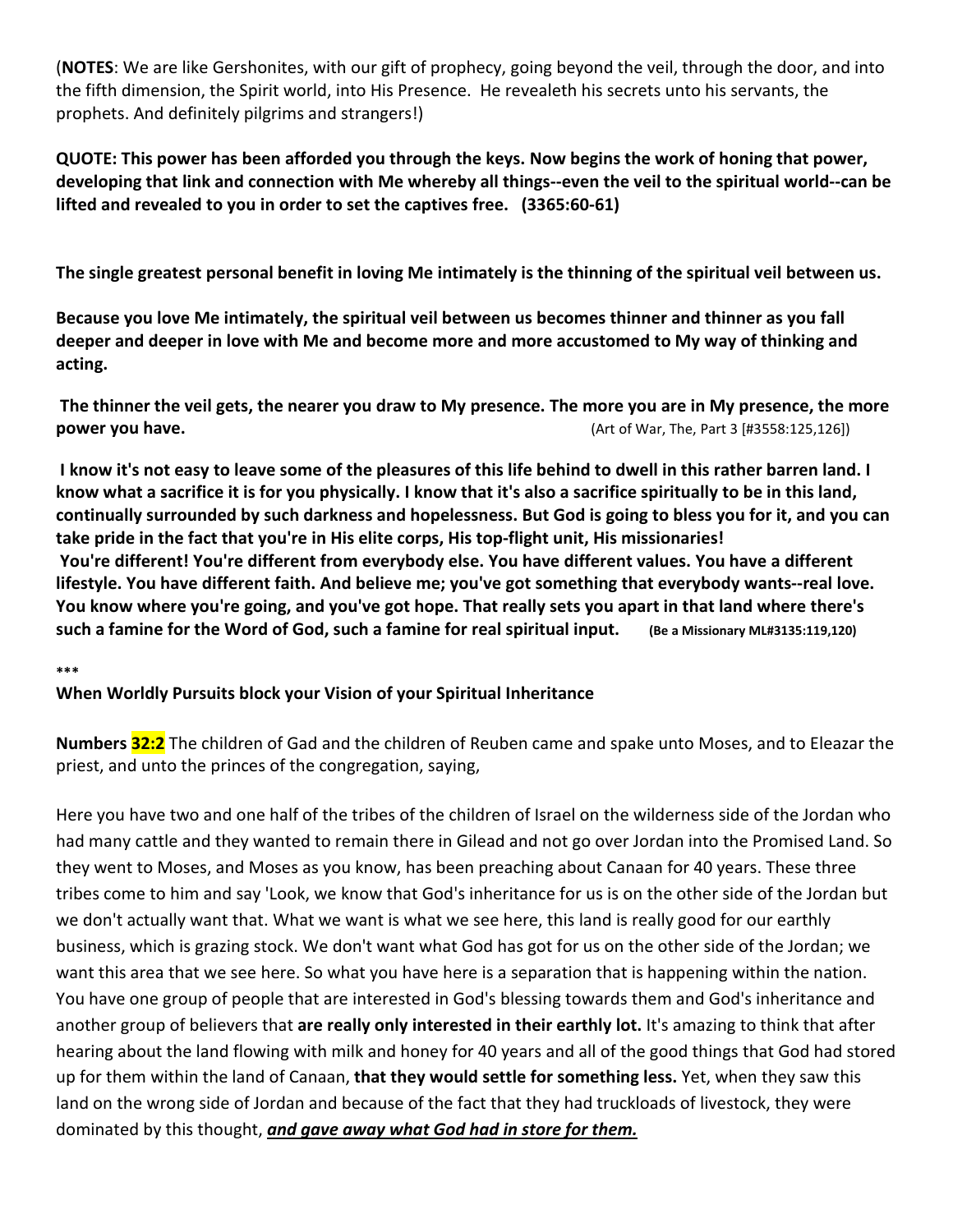(**NOTES**: We are like Gershonites, with our gift of prophecy, going beyond the veil, through the door, and into the fifth dimension, the Spirit world, into His Presence. He revealeth his secrets unto his servants, the prophets. And definitely pilgrims and strangers!)

QUOTE: This power has been afforded you through the keys. Now begins the work of honing that power, developing that link and connection with Me whereby all things--even the veil to the spiritual world--can be **lifted and revealed to you in order to set the captives free. (3365:60-61)**

The single greatest personal benefit in loving Me intimately is the thinning of the spiritual veil between us.

**Because you love Me intimately, the spiritual veil between us becomes thinner and thinner as you fall deeper and deeper in love with Me and become more and more accustomed to My way ofthinking and acting.**

The thinner the veil gets, the nearer you draw to My presence. The more you are in My presence, the more **power you have.** (Art of War, The, Part 3 [#3558:125,126])

I know it's not easy to leave some of the pleasures of this life behind to dwell in this rather barren land. I know what a sacrifice it is for you physically. I know that it's also a sacrifice spiritually to be in this land, continually surrounded by such darkness and hopelessness. But God is going to bless you for it, and you can **take pride in the fact that you're in His elite corps, His top-flight unit, His missionaries! You're different! You're different from everybody else. You have different values. You have a different lifestyle. You have different faith. And believe me; you've got something that everybody wants--real love.** You know where you're going, and you've got hope. That really sets you apart in that land where there's such a famine for the Word of God, such a famine for real spiritual input. (Be a Missionary ML#3135:119,120)

**\*\*\***

# **When Worldly Pursuits block your Vision of your Spiritual Inheritance**

**Numbers 32:2** The children of Gad and the children of Reuben came and spake unto Moses, and to Eleazar the priest, and unto the princes of the congregation, saying,

Here you have two and one half of the tribes of the children of Israel on the wilderness side of the Jordan who had many cattle and they wanted to remain there in Gilead and not go over Jordan into the Promised Land. So they went to Moses, and Moses as you know, has been preaching about Canaan for 40 years. These three tribes come to him and say 'Look, we know that God's inheritance for us is on the other side of the Jordan but we don't actually want that. What we want is what we see here, this land is really good for our earthly business, which is grazing stock. We don't want what God has got for us on the other side of the Jordan; we want this area that we see here. So what you have here is a separation that is happening within the nation. You have one group of people that are interested in God's blessing towards them and God's inheritance and another group of believers that **are really only interested in their earthly lot.** It's amazing to think that after hearing about the land flowing with milk and honey for 40 years and all of the good things that God had stored up for them within the land of Canaan, **that they would settle for something less.** Yet, when they saw this land on the wrong side of Jordan and because of the fact that they had truckloads of livestock, they were dominated by this thought, *and gave away whatGod had in store for them.*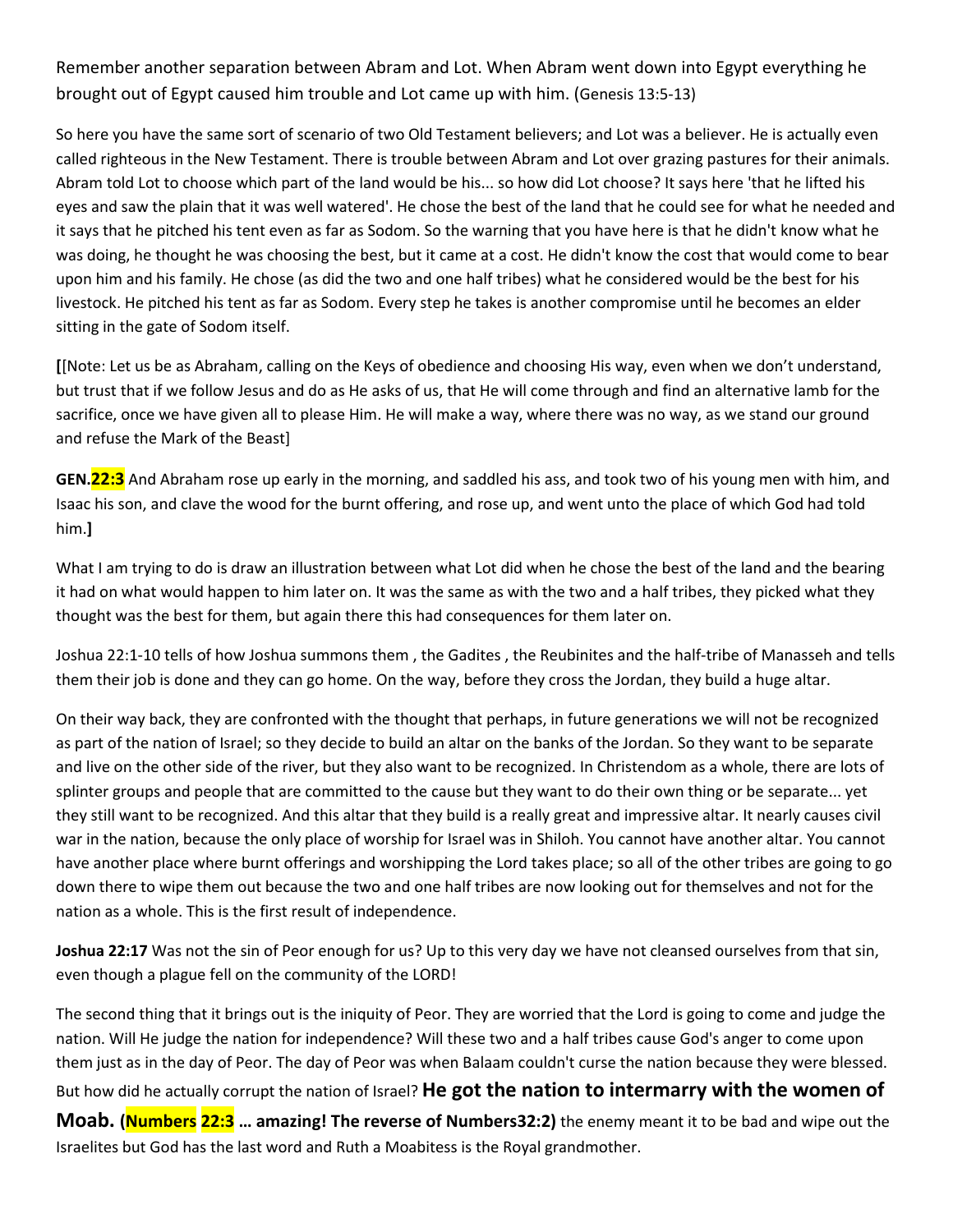Remember another separation between Abram and Lot. When Abram went down into Egypt everything he brought out of Egypt caused him trouble and Lot came up with him. (Genesis 13:5-13)

So here you have the same sort of scenario of two Old Testament believers; and Lot was a believer. He is actually even called righteous in the New Testament. There is trouble between Abram and Lot over grazing pastures for their animals. Abram told Lot to choose which part of the land would be his... so how did Lot choose? It says here 'that he lifted his eyes and saw the plain that it was well watered'. He chose the best of the land that he could see for what he needed and it says that he pitched his tent even as far as Sodom. So the warning that you have here is that he didn't know what he was doing, he thought he was choosing the best, but it came at a cost. He didn't know the cost that would come to bear upon him and his family. He chose (as did the two and one half tribes) what he considered would be the best for his livestock. He pitched his tent as far as Sodom. Every step he takes is another compromise until he becomes an elder sitting in the gate of Sodom itself.

**[**[Note: Let us be as Abraham, calling on the Keysof obedience and choosing Hisway, even when we don't understand, but trust that if we follow Jesus and do as He asks of us, that He will come through and find an alternative lamb for the sacrifice, once we have given all to please Him. He will make a way, where there was no way, as we stand our ground and refuse the Mark of the Beast]

**GEN.22:3** And Abraham rose up early in the morning, and saddled his ass, and took two ofhis young men with him, and Isaac his son, and clave the wood for the burnt offering, and rose up, and went unto the place of which God had told him.**]**

What I am trying to do is draw an illustration between what Lot did when he chose the best of the land and the bearing it had on what would happen to him later on. It was the same as with the two and a half tribes, they picked what they thought was the best for them, but again there this had consequences for them later on.

Joshua 22:1-10 tells of how Joshua summons them , the Gadites , the Reubinites and the half-tribe of Manasseh and tells them their job is done and they can go home. On the way, before they cross the Jordan, they build a huge altar.

On their way back, they are confronted with the thought that perhaps, in future generations we will not be recognized as part of the nation of Israel; so they decide to build an altar on the banks of the Jordan. So they want to be separate and live on the other side of the river, but they also want to be recognized. In Christendom as a whole, there are lots of splinter groups and people that are committed to the cause but they want to do their own thing or be separate... yet they still want to be recognized. And this altar that they build is a really great and impressive altar. It nearly causes civil war in the nation, because the only place of worship for Israel was in Shiloh. You cannot have another altar. You cannot have another place where burnt offerings and worshipping the Lord takes place; so all of the other tribes are going to go down there to wipe them out because the two and one half tribes are now looking out for themselves and not for the nation as a whole. This is the first result of independence.

**Joshua 22:17** Was not the sin of Peor enough for us? Up to this very day we have not cleansed ourselves from that sin, even though a plague fell on the community of the LORD!

The second thing that it brings out is the iniquity of Peor. They are worried that the Lord is going to come and judge the nation. Will He judge the nation for independence? Will these two and a half tribes cause God's anger to come upon them just as in the day of Peor. The day of Peor was when Balaam couldn't curse the nation because they were blessed. But how did he actually corrupt the nation of Israel? **He got the nation to intermarry with the women of Moab. (Numbers 22:3 … amazing! The reverse of Numbers32:2)** the enemy meant it to be bad and wipe out the Israelites but God has the last word and Ruth a Moabitess is the Royal grandmother.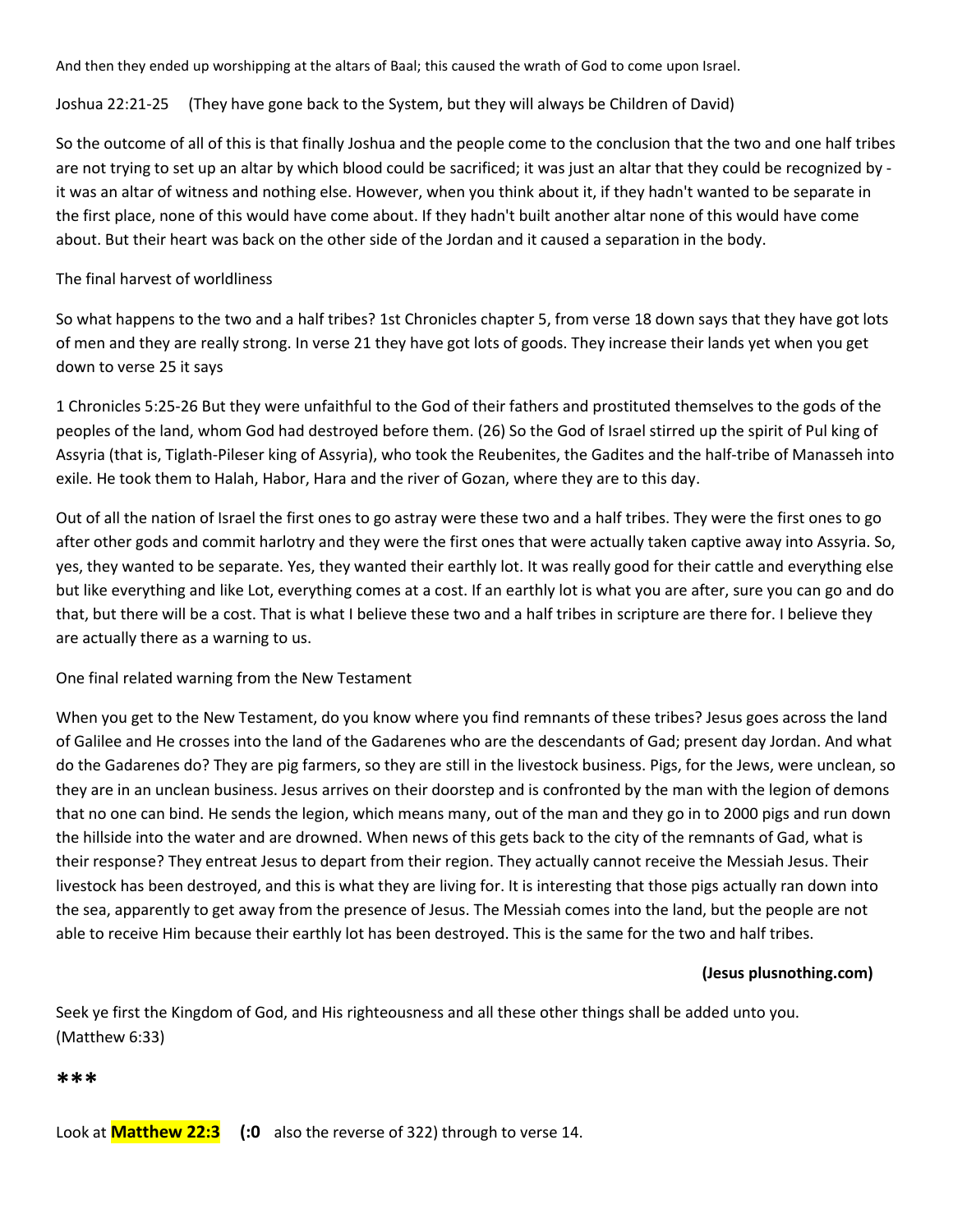And then they ended up worshipping at the altars of Baal; this caused the wrath of God to come upon Israel.

Joshua 22:21-25 (They have gone back to the System, but they will always be Children of David)

So the outcome of all of this is that finally Joshua and the people come to the conclusion that the two and one half tribes are not trying to set up an altar by which blood could be sacrificed; it was just an altar that they could be recognized by it was an altar of witness and nothing else. However, when you think about it, if they hadn't wanted to be separate in the first place, none of this would have come about. If they hadn't built another altar none of this would have come about. But their heart was back on the other side of the Jordan and it caused a separation in the body.

#### The final harvest of worldliness

So what happens to the two and a half tribes? 1st Chronicles chapter 5, from verse 18 down says that they have got lots of men and they are really strong. In verse 21 they have got lots of goods. They increase their lands yet when you get down to verse 25 it says

1 Chronicles 5:25-26 But they were unfaithful to the God of their fathers and prostituted themselves to the gods of the peoples of the land, whom God had destroyed before them. (26) So the God of Israel stirred up the spirit of Pul king of Assyria (that is, Tiglath-Pileser king of Assyria), who took the Reubenites, the Gadites and the half-tribe of Manasseh into exile. He took them to Halah, Habor, Hara and the river of Gozan, where they are to this day.

Out of all the nation of Israel the first ones to go astray were these two and a half tribes. They were the first ones to go after other gods and commit harlotry and they were the first ones that were actually taken captive away into Assyria. So, yes, they wanted to be separate. Yes, they wanted their earthly lot. It was really good for their cattle and everything else but like everything and like Lot, everything comes at a cost. If an earthly lot is what you are after, sure you can go and do that, but there will be a cost. That is what I believe these two and a half tribes in scripture are there for. I believe they are actually there as a warning to us.

#### One final related warning from the New Testament

When you get to the New Testament, do you know where you find remnants of these tribes? Jesus goes across the land of Galilee and He crosses into the land of the Gadarenes who are the descendants of Gad; present day Jordan. And what do the Gadarenes do? They are pig farmers, so they are still in the livestock business. Pigs, for the Jews, were unclean, so they are in an unclean business. Jesus arrives on their doorstep and is confronted by the man with the legion of demons that no one can bind. He sends the legion, which means many, out of the man and they go in to 2000 pigs and run down the hillside into the water and are drowned. When news of this gets back to the city of the remnants of Gad, what is their response? They entreat Jesus to depart from their region. They actually cannot receive the Messiah Jesus. Their livestock has been destroyed, and this iswhat they are living for. It is interesting that those pigs actually ran down into the sea, apparently to get away from the presence of Jesus. The Messiah comes into the land, but the people are not able to receive Him because their earthly lot has been destroyed. This is the same for the two and half tribes.

#### **(Jesus plusnothing.com)**

Seek ye first the Kingdom of God, and His righteousness and all these other things shall be added unto you. (Matthew 6:33)

**\*\*\***

Look at **Matthew 22:3 (:0** also the reverse of 322) through to verse 14.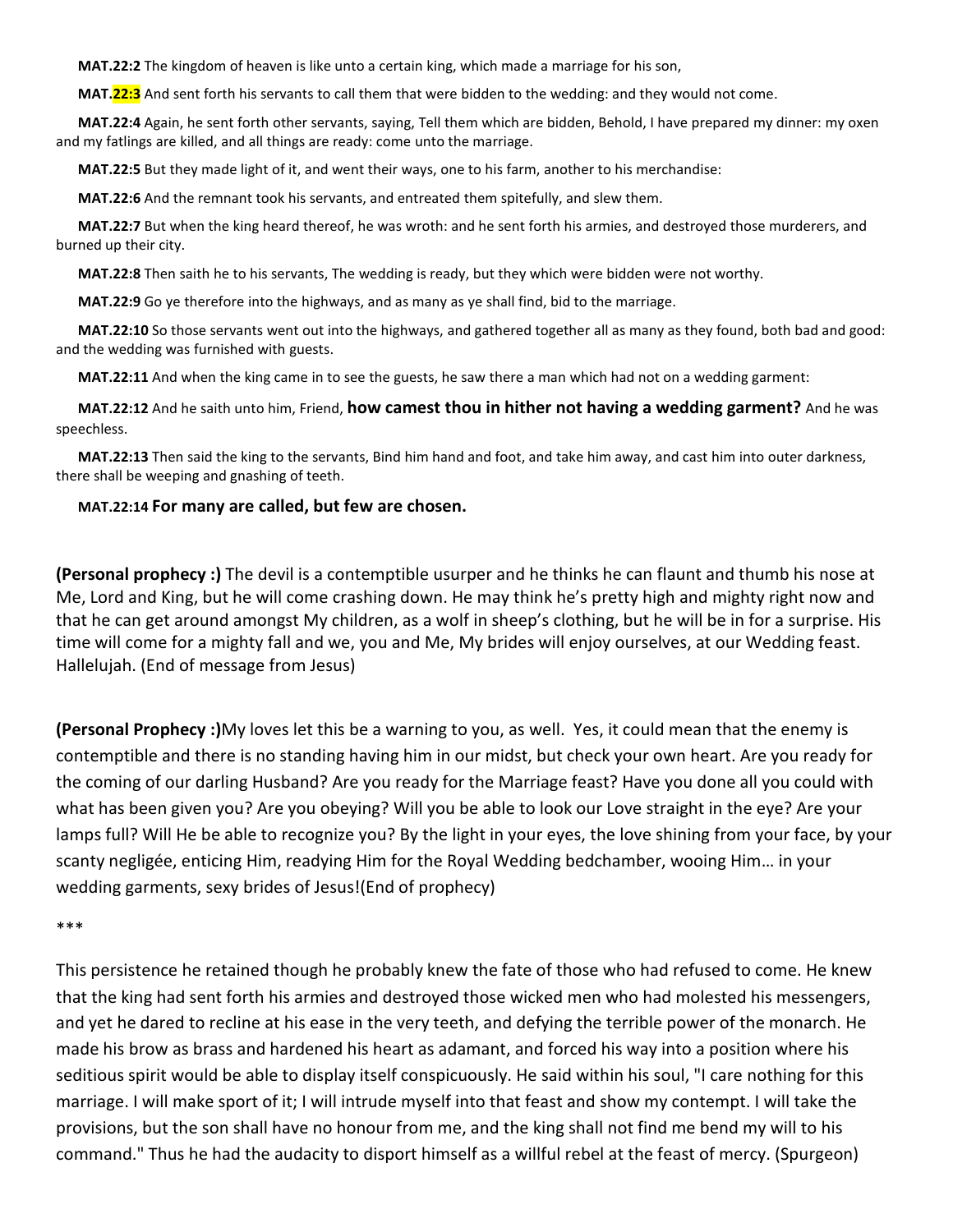**MAT.22:2** The kingdom of heaven is like unto a certain king, which made a marriage for his son,

**MAT.22:3** And sent forth his servants to call them that were bidden to the wedding: and they would not come.

**MAT.22:4** Again, he sent forth other servants, saying, Tell them which are bidden, Behold, I have prepared my dinner: my oxen and my fatlings are killed, and all things are ready: come unto the marriage.

**MAT.22:5** But they made light of it, and went their ways, one to his farm, another to his merchandise:

**MAT.22:6** And the remnant took his servants, and entreated them spitefully, and slew them.

**MAT.22:7** But when the king heard thereof, he was wroth: and he sent forth his armies, and destroyed those murderers, and burned up their city.

**MAT.22:8** Then saith he to his servants, The wedding is ready, but they which were bidden were not worthy.

**MAT.22:9** Go ye therefore into the highways, and as many as ye shall find, bid to the marriage.

**MAT.22:10** So those servants went out into the highways, and gathered together all as many asthey found, both bad and good: and the wedding was furnished with guests.

**MAT.22:11** And when the king came in to see the guests, he saw there a man which had not on a wedding garment:

**MAT.22:12** And he saith unto him, Friend, **how camest thou in hither not having a wedding garment?** And he was speechless.

**MAT.22:13** Then said the king to the servants, Bind him hand and foot, and take him away, and cast him into outer darkness, there shall be weeping and gnashing of teeth.

#### **MAT.22:14 For many are called, but few are chosen.**

**(Personal prophecy :)** The devil is a contemptible usurper and he thinks he can flaunt and thumb his nose at Me, Lord and King, but he will come crashing down. He may think he's pretty high and mighty right now and that he can get around amongst My children, as a wolf in sheep's clothing, but he will be in for a surprise. His time will come for a mighty fall and we, you and Me, My brides will enjoy ourselves, at our Wedding feast. Hallelujah. (End of message from Jesus)

**(Personal Prophecy :) My loves let this be a warning to you, as well. Yes, it could mean that the enemy is** contemptible and there is no standing having him in our midst, but check yourown heart. Are you ready for the coming of our darling Husband? Are you ready for the Marriage feast? Have you done all you could with what has been given you? Are you obeying? Will you be able to look our Love straight in the eye? Are your lamps full? Will He be able to recognize you? By the light in your eyes, the love shining from your face, by your scanty negligée, enticing Him, readying Him for the Royal Wedding bedchamber, wooing Him… in your wedding garments, sexy brides of Jesus!(End of prophecy)

\*\*\*

This persistence he retained though he probably knew the fate of those who had refused to come. He knew that the king had sent forth his armies and destroyed those wicked men who had molested his messengers, and yet he dared to recline at his ease in the very teeth, and defying the terrible powerof the monarch. He made his brow as brass and hardened his heart as adamant, and forced his way into a position where his seditious spirit would be able to display itself conspicuously. He said within his soul, "I care nothing for this marriage. I will make sport of it; I will intrude myself into that feast and show my contempt. I will take the provisions, but the son shall have no honour from me, and the king shall not find me bend my will to his command." Thus he had the audacity to disport himself as a willful rebel at the feast of mercy. (Spurgeon)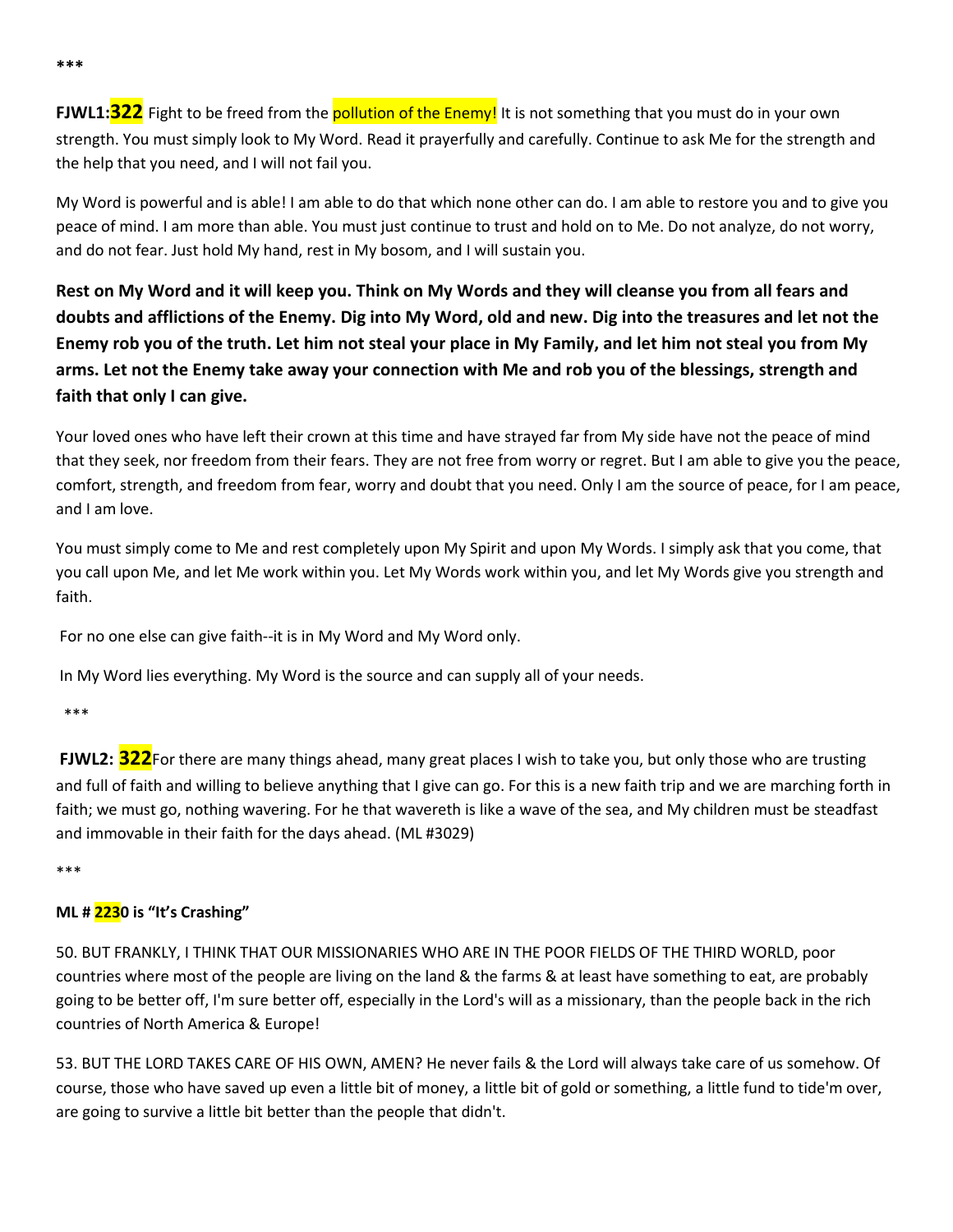**FJWL1:<sup>322</sup>** Fight to be freed from the **pollution of the Enemy!** It is not something that you must do in your own strength. You must simply look to My Word. Read it prayerfully and carefully. Continue to ask Me for the strength and the help that you need, and I will not fail you.

My Word is powerful and is able! I am able to do that which none other can do. I am able to restore you and to give you peace of mind. I am more than able. You must just continue to trust and hold on to Me. Do not analyze, do not worry, and do not fear. Just hold My hand, rest in My bosom, and I will sustain you.

Rest on My Word and it will keep you. Think on My Words and they will cleanse you from all fears and doubts and afflictions of the Enemy. Dig into My Word, old and new. Dig into the treasures and let not the Enemy rob you of the truth. Let him not steal your place in My Family, and let him not steal you from My arms. Let not the Enemy take away your connection with Me and rob you of the blessings, strength and **faith that only I can give.**

Your loved ones who have left their crown at this time and have strayed far from My side have not the peace of mind that they seek, nor freedom from their fears. They are not free from worry or regret. But I am able to give you the peace, comfort, strength, and freedom from fear, worry and doubt that you need. Only I am the source of peace, for I am peace, and I am love.

You must simply come to Me and rest completely upon My Spirit and upon My Words. I simply ask that you come, that you call upon Me, and let Me work within you. Let My Words work within you, and let My Words give you strength and faith.

For no one else can give faith--it is in My Word and My Word only.

In My Word lies everything. My Word is the source and can supply all of your needs.

\*\*\*

**FJWL2: 322**For there are many things ahead, many great places I wish to take you, but only those who are trusting and full of faith and willing to believe anything that I give can go. For this is a new faith trip and we are marching forth in faith; we must go, nothing wavering. For he that wavereth is like a wave of the sea, and My children must be steadfast and immovable in their faith for the days ahead. (ML #3029)

\*\*\*

# **ML # 2230 is "It's Crashing"**

50. BUT FRANKLY, I THINK THAT OUR MISSIONARIES WHO ARE IN THE POOR FIELDS OF THE THIRD WORLD, poor countries where most of the people are living on the land & the farms & at least have something to eat, are probably going to be better off, I'm sure better off, especially in the Lord's will as a missionary, than the people back in the rich countries of North America & Europe!

53. BUT THE LORD TAKES CARE OF HIS OWN, AMEN? He never fails & the Lord will always take care of us somehow. Of course, those who have saved up even a little bit of money, a little bit of gold or something, a little fund to tide'm over, are going to survive a little bit better than the people that didn't.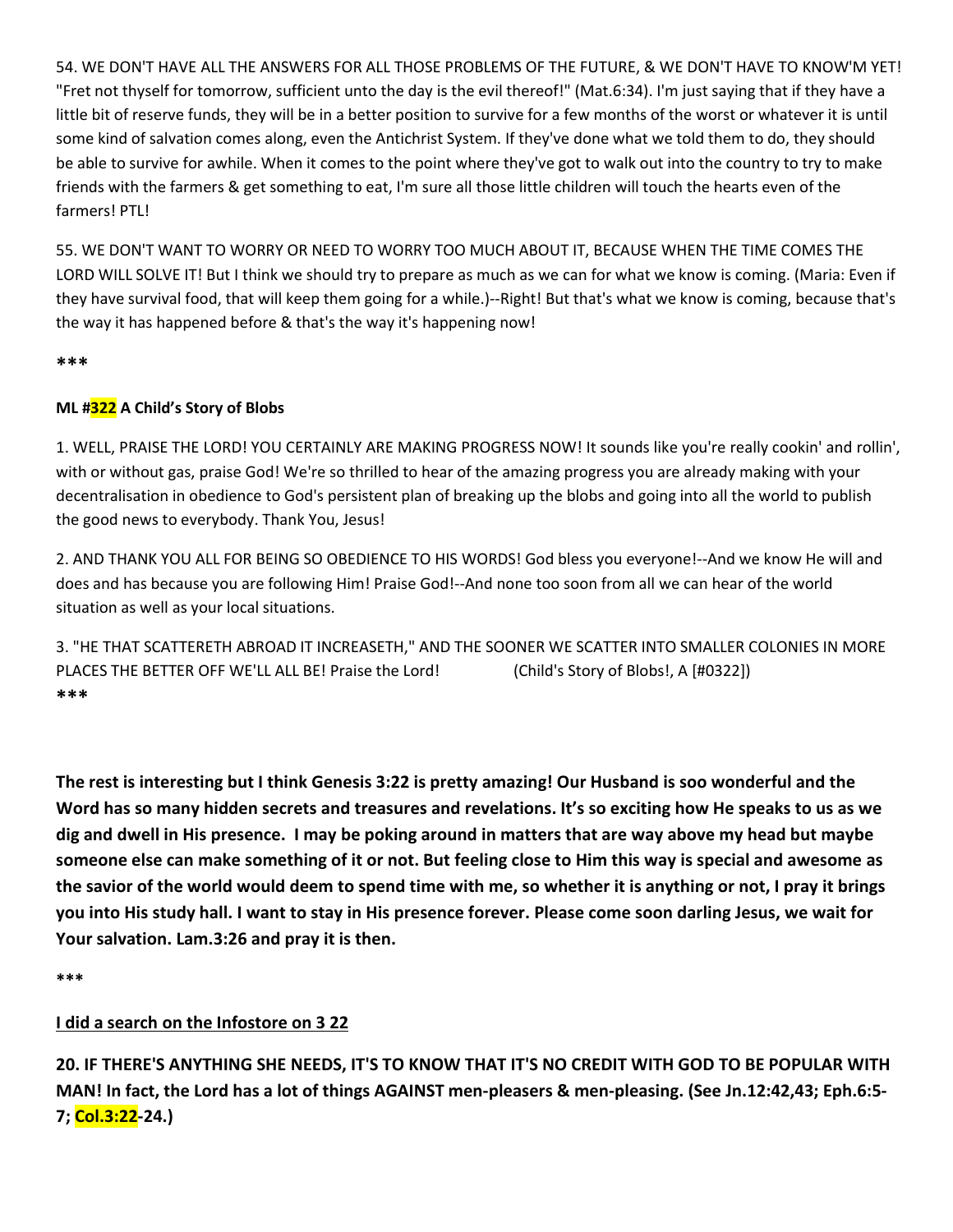54. WE DON'T HAVE ALL THE ANSWERS FOR ALL THOSE PROBLEMS OF THE FUTURE, & WE DON'T HAVE TO KNOW'M YET! "Fret not thyself for tomorrow, sufficient unto the day is the evil thereof!" (Mat.6:34). I'm just saying that if they have a little bit of reserve funds, they will be in a better position to survive for a few months of the worst or whatever it is until some kind of salvation comes along, even the Antichrist System. If they've done what we told them to do, they should be able to survive for awhile. When it comes to the point where they've got to walk out into the country to try to make friends with the farmers & get something to eat, I'm sure all thoselittle children will touch the hearts even of the farmers! PTL!

55. WE DON'T WANT TO WORRYOR NEED TO WORRYTOO MUCH ABOUT IT, BECAUSE WHEN THE TIME COMES THE LORD WILL SOLVE IT! But I think we should try to prepare as much as we can for what we know is coming. (Maria: Even if they have survival food, that will keep them going for a while.)--Right! But that's what we know is coming, because that's the way it has happened before & that's the way it's happening now!

**\*\*\***

# **ML #322 A Child's Story of Blobs**

1. WELL, PRAISE THE LORD! YOU CERTAINLY ARE MAKING PROGRESS NOW! It sounds like you're really cookin' and rollin', with or without gas, praise God! We're so thrilled to hear of the amazing progress you are already making with your decentralisation in obedience to God's persistent plan of breaking up the blobs and going into all the world to publish the good news to everybody. Thank You, Jesus!

2. AND THANK YOU ALL FOR BEING SO OBEDIENCE TO HIS WORDS! God bless you everyone!--And we know He will and does and has because you are following Him! Praise God!--And none too soon from all we can hear of the world situation as well as your local situations.

3. "HE THAT SCATTERETH ABROAD IT INCREASETH," AND THE SOONER WE SCATTER INTO SMALLER COLONIES IN MORE PLACES THE BETTER OFF WE'LL ALL BE! Praise the Lord! (Child's Story of Blobs!, A [#0322]) **\*\*\***

The rest is interesting but I think Genesis 3:22 is pretty amazing! Our Husband is soo wonderful and the Word has so many hidden secrets and treasures and revelations. It's so exciting how He speaks to us as we dig and dwell in His presence. I may be poking around in matters that are way above my head but maybe someone else can make something of it or not. But feeling close to Him this way is special and awesome as the savior of the world would deem to spend time with me, so whether it is anything or not, I pray it brings you into His study hall. I want to stay in His presence forever. Please come soon darling Jesus, we wait for **Your salvation. Lam.3:26 and pray it is then.**

**\*\*\***

# **I did a search on the Infostore on 3 22**

20. IF THERE'S ANYTHING SHE NEEDS, IT'S TO KNOW THAT IT'S NO CREDIT WITH GOD TO BE POPULAR WITH MAN! In fact, the Lord has a lot of things AGAINST men-pleasers & men-pleasing. (See Jn.12:42,43; Eph.6:5-**7; Col.3:22-24.)**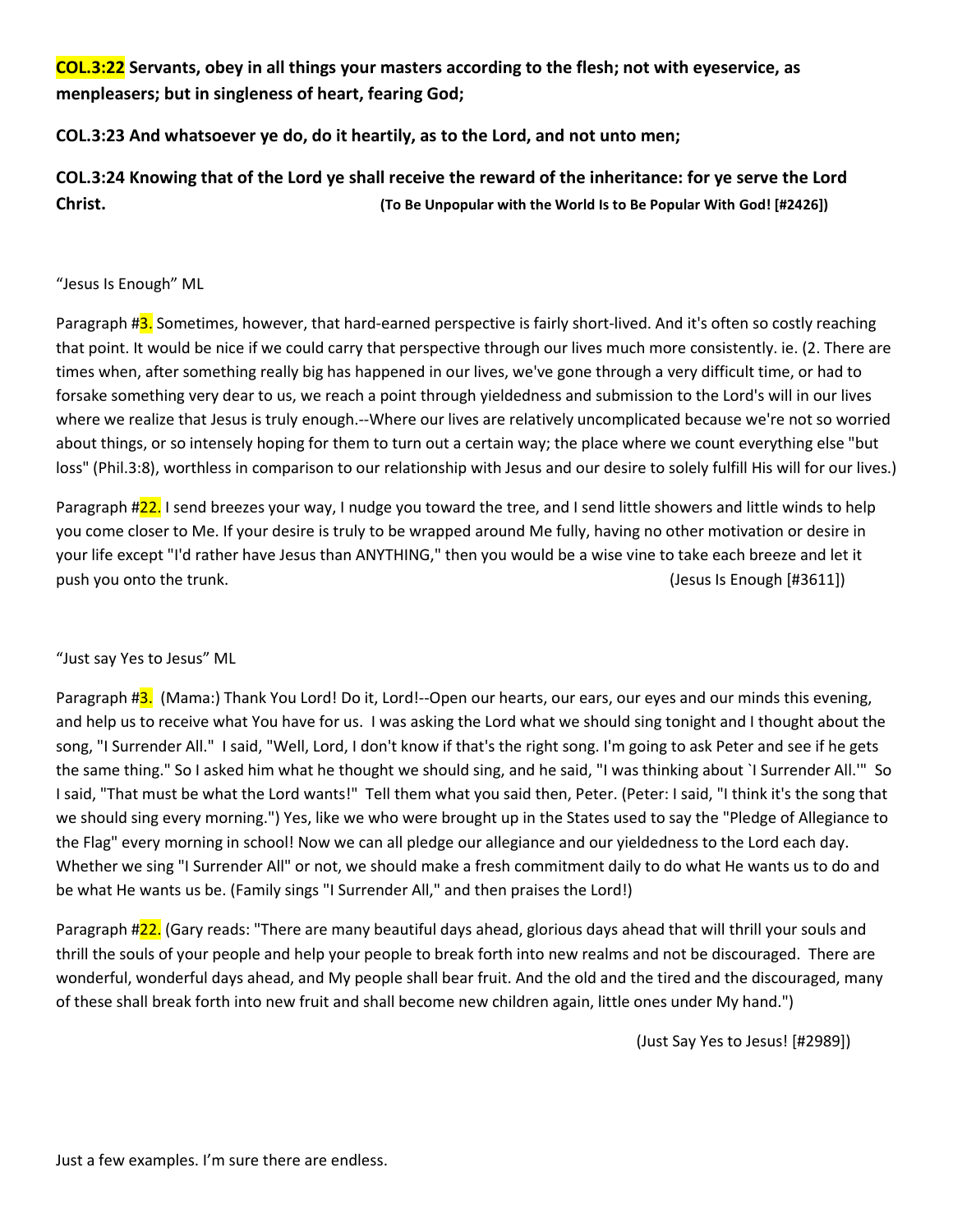**COL.3:22 Servants, obey in all things your masters according to the flesh; not with eyeservice, as menpleasers; but in singleness of heart, fearing God;**

# **COL.3:23 And whatsoever ye do, do it heartily, as to the Lord, and not unto men;**

COL.3:24 Knowing that of the Lord ye shall receive the reward of the inheritance: for ye serve the Lord **Christ. (To Be Unpopular with the World Is to Be Popular With God! [#2426])**

#### "Jesus Is Enough" ML

Paragraph #3. Sometimes, however, that hard-earned perspective is fairly short-lived. And it's often so costly reaching that point. It would be nice if we could carry that perspective through our lives much more consistently. ie. (2. There are times when, after something really big has happened in our lives, we've gone through a very difficult time, or had to forsake something very dear to us, we reach a point through yieldedness and submission to the Lord's will in our lives where we realize that Jesus is truly enough.--Where our lives are relatively uncomplicated because we're not so worried about things, or so intensely hoping for them to turn out a certain way; the place where we count everything else "but loss" (Phil.3:8), worthless in comparison to our relationship with Jesus and our desire to solely fulfill His will for our lives.)

Paragraph #22. I send breezes your way, I nudge you toward the tree, and I send little showers and little winds to help you come closer to Me. If your desire is truly to be wrapped around Me fully, having no other motivation or desire in your life except "I'd rather have Jesus than ANYTHING," then you would be a wise vine to take each breeze and let it push you onto the trunk. (Jesus Is Enough [#3611])

#### "Just say Yes to Jesus" ML

Paragraph #3. (Mama:) Thank You Lord! Do it, Lord!--Open our hearts, our ears, our eyes and our minds this evening, and help us to receive what You have for us. I was asking the Lord what we should sing tonight and I thought about the song, "I Surrender All." I said, "Well, Lord, I don't know if that's the right song. I'm going to ask Peter and see if he gets the same thing." So I asked him what he thought we should sing, and he said, "I was thinking about `I Surrender All."" So I said, "That must be what the Lord wants!" Tell them what you said then, Peter. (Peter: I said, "I think it's the song that we should sing every morning.") Yes, like we who were brought up in the States used to say the "Pledge of Allegiance to the Flag" every morning in school! Now we can all pledge our allegiance and our yieldedness to the Lord each day. Whether we sing "I Surrender All" or not, we should make a fresh commitment daily to do what He wants us to do and be what He wants us be. (Family sings "I Surrender All," and then praises the Lord!)

Paragraph #22. (Gary reads: "There are many beautiful days ahead, glorious days ahead that will thrill your souls and thrill the souls of your people and help your people to break forth into new realms and not be discouraged. There are wonderful, wonderful days ahead, and My people shall bear fruit. And the old and the tired and the discouraged, many of these shall break forth into new fruit and shall become new children again, little ones under My hand.")

(Just Say Yes to Jesus! [#2989])